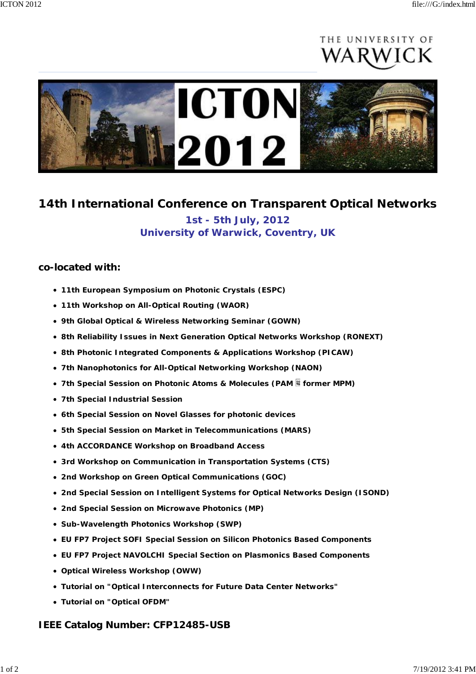# THE UNIVERSITY OF



# **14th International Conference on Transparent Optical Networks**

# **1st - 5th July, 2012 University of Warwick, Coventry, UK**

### **co-located with:**

- **11th European Symposium on Photonic Crystals (ESPC)**
- **11th Workshop on All-Optical Routing (WAOR)**
- **9th Global Optical & Wireless Networking Seminar (GOWN)**
- **8th Reliability Issues in Next Generation Optical Networks Workshop (RONEXT)**
- **8th Photonic Integrated Components & Applications Workshop (PICAW)**
- **7th Nanophotonics for All-Optical Networking Workshop (NAON)**
- **7th Special Session on Photonic Atoms & Molecules (PAM & former MPM)**
- **7th Special Industrial Session**
- **6th Special Session on Novel Glasses for photonic devices**
- **5th Special Session on Market in Telecommunications (MARS)**
- **4th ACCORDANCE Workshop on Broadband Access**
- **3rd Workshop on Communication in Transportation Systems (CTS)**
- **2nd Workshop on Green Optical Communications (GOC)**
- **2nd Special Session on Intelligent Systems for Optical Networks Design (ISOND)**
- **2nd Special Session on Microwave Photonics (MP)**
- **Sub-Wavelength Photonics Workshop (SWP)**
- **EU FP7 Project SOFI Special Session on Silicon Photonics Based Components**
- **EU FP7 Project NAVOLCHI Special Section on Plasmonics Based Components**
- **Optical Wireless Workshop (OWW)**
- **Tutorial on "Optical Interconnects for Future Data Center Networks"**
- **Tutorial on "Optical OFDM"**

### **IEEE Catalog Number: CFP12485-USB**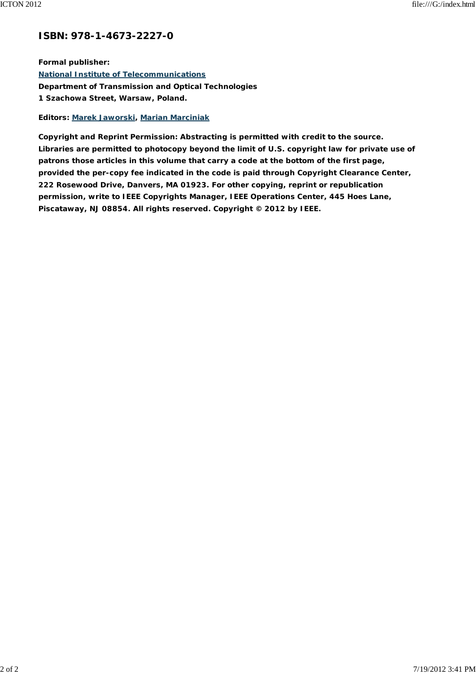## **ISBN: 978-1-4673-2227-0**

**Formal publisher: National Institute of Telecommunications Department of Transmission and Optical Technologies 1 Szachowa Street, Warsaw, Poland.**

**Editors: Marek Jaworski, Marian Marciniak**

**Copyright and Reprint Permission: Abstracting is permitted with credit to the source. Libraries are permitted to photocopy beyond the limit of U.S. copyright law for private use of patrons those articles in this volume that carry a code at the bottom of the first page, provided the per-copy fee indicated in the code is paid through Copyright Clearance Center, 222 Rosewood Drive, Danvers, MA 01923. For other copying, reprint or republication permission, write to IEEE Copyrights Manager, IEEE Operations Center, 445 Hoes Lane, Piscataway, NJ 08854. All rights reserved. Copyright © 2012 by IEEE.**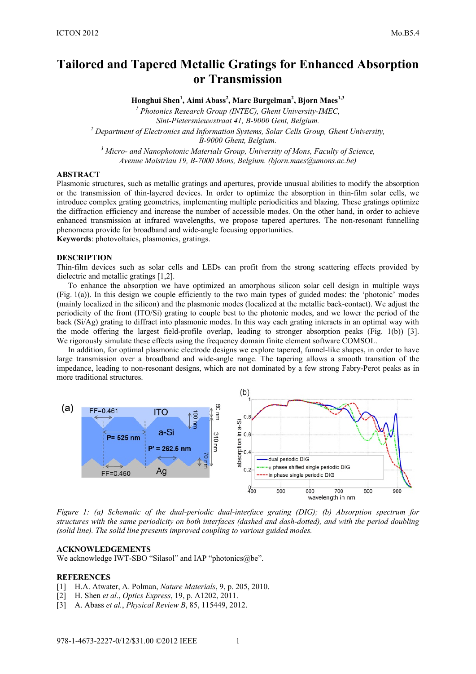# **Tailored and Tapered Metallic Gratings for Enhanced Absorption or Transmission**

**Honghui Shen1 , Aimi Abass2 , Marc Burgelman<sup>2</sup> , Bjorn Maes1,3**

<sup>1</sup> Photonics Research Group (INTEC), Ghent University-IMEC, Sint-Pietersnieuwstraat 41, B-9000 Gent, Belgium.

 *Department of Electronics and Information Systems, Solar Cells Group, Ghent University,* 

*B-9000 Ghent, Belgium.*<br><sup>3</sup> Micro- and Nanophotonic Materials Group, University of Mons, Faculty of Science, *Avenue Maistriau 19, B-7000 Mons, Belgium. (bjorn.maes@umons.ac.be)* 

### **ABSTRACT**

Plasmonic structures, such as metallic gratings and apertures, provide unusual abilities to modify the absorption or the transmission of thin-layered devices. In order to optimize the absorption in thin-film solar cells, we introduce complex grating geometries, implementing multiple periodicities and blazing. These gratings optimize the diffraction efficiency and increase the number of accessible modes. On the other hand, in order to achieve enhanced transmission at infrared wavelengths, we propose tapered apertures. The non-resonant funnelling phenomena provide for broadband and wide-angle focusing opportunities. **Keywords**: photovoltaics, plasmonics, gratings.

**DESCRIPTION** 

Thin-film devices such as solar cells and LEDs can profit from the strong scattering effects provided by dielectric and metallic gratings [1,2].

To enhance the absorption we have optimized an amorphous silicon solar cell design in multiple ways (Fig. 1(a)). In this design we couple efficiently to the two main types of guided modes: the 'photonic' modes (mainly localized in the silicon) and the plasmonic modes (localized at the metallic back-contact). We adjust the periodicity of the front (ITO/Si) grating to couple best to the photonic modes, and we lower the period of the back (Si/Ag) grating to diffract into plasmonic modes. In this way each grating interacts in an optimal way with the mode offering the largest field-profile overlap, leading to stronger absorption peaks (Fig. 1(b)) [3]. We rigorously simulate these effects using the frequency domain finite element software COMSOL.

In addition, for optimal plasmonic electrode designs we explore tapered, funnel-like shapes, in order to have large transmission over a broadband and wide-angle range. The tapering allows a smooth transition of the impedance, leading to non-resonant designs, which are not dominated by a few strong Fabry-Perot peaks as in more traditional structures.



*Figure 1: (a) Schematic of the dual-periodic dual-interface grating (DIG); (b) Absorption spectrum for structures with the same periodicity on both interfaces (dashed and dash-dotted), and with the period doubling (solid line). The solid line presents improved coupling to various guided modes.* 

### **ACKNOWLEDGEMENTS**

We acknowledge IWT-SBO "Silasol" and IAP "photonics@be".

### **REFERENCES**

- [1] H.A. Atwater, A. Polman, *Nature Materials*, 9, p. 205, 2010.
- [2] H. Shen *et al*., *Optics Express*, 19, p. A1202, 2011.
- [3] A. Abass *et al.*, *Physical Review B*, 85, 115449, 2012.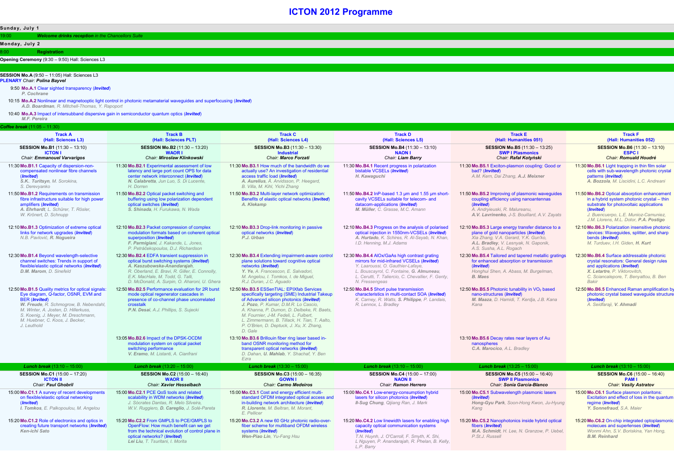# **ICTON 2012 Programme**

**Sunda y, Jul y 1**

19:00 *Welcome drinks reception in the Chancellors Suite*

**Monday, July 2** 

8:00 **Registration**

**Opening Ceremony** (9:30 – 9:50) Hall: Sciences L3

#### **SESSION Mo.A** (9:50 – 11:05) Hall: Sciences L3 **PLENARY** *Chair: Polina Bayvel*

9:50 **Mo.A.1** Clear sighted transparency (*Invited*) *P. Cochrane*

10:15 **Mo.A.2** Nonlinear and magnetooptic light control in photonic metamaterial waveguides and superfocusing (*Invited*) *A.D. Boardman, R. Mitchell-Thomas, Y. Rapoport*

10:40 **Mo.A.3** Impact of intersubband dispersive gain in semiconductor quantum optics (*Invited*)

# *M.F. Pereira*

| <b>Coffee break</b> $(11:05 - 11:30)$                                                                                                                                                                                                                                                       |                                                                                                                                                                                                                                                               |                                                                                                                                                                                                                                                                                                                                                                               |                                                                                                                                                                                                                                                     |                                                                                                                                                                                                        |                                                                                                                                                                                                                                      |
|---------------------------------------------------------------------------------------------------------------------------------------------------------------------------------------------------------------------------------------------------------------------------------------------|---------------------------------------------------------------------------------------------------------------------------------------------------------------------------------------------------------------------------------------------------------------|-------------------------------------------------------------------------------------------------------------------------------------------------------------------------------------------------------------------------------------------------------------------------------------------------------------------------------------------------------------------------------|-----------------------------------------------------------------------------------------------------------------------------------------------------------------------------------------------------------------------------------------------------|--------------------------------------------------------------------------------------------------------------------------------------------------------------------------------------------------------|--------------------------------------------------------------------------------------------------------------------------------------------------------------------------------------------------------------------------------------|
| <b>Track A</b><br>(Hall: Sciences L3)                                                                                                                                                                                                                                                       | <b>Track B</b><br>(Hall: Sciences PLT)                                                                                                                                                                                                                        | <b>Track C</b><br>(Hall: Sciences L4)                                                                                                                                                                                                                                                                                                                                         | <b>Track D</b><br>(Hall: Sciences L5)                                                                                                                                                                                                               | <b>Track E</b><br>(Hall: Humanities 051)                                                                                                                                                               | <b>Track F</b><br>(Hall: Humanities 052)                                                                                                                                                                                             |
| <b>SESSION Mo.B1</b> (11:30 - 13:10)<br><b>ICTON</b><br>Chair: Emmanouel Varvarigos                                                                                                                                                                                                         | <b>SESSION Mo.B2</b> (11:30 - 13:20)<br><b>WAOR</b><br>Chair: Mirosław Klinkowski                                                                                                                                                                             | <b>SESSION Mo.B3</b> $(11:30 - 13:30)$<br><b>Industrial</b><br>Chair: Marco Forzati                                                                                                                                                                                                                                                                                           | <b>SESSION Mo.B4</b> $(11:30 - 13:10)$<br><b>NAON I</b><br>Chair: Liam Barry                                                                                                                                                                        | <b>SESSION Mo.B5</b> (11:30 - 13:25)<br><b>SWP   Plasmonics</b><br>Chair: Rafał Kotyński                                                                                                               | <b>SESSION Mo.B6</b> $(11:30 - 13:10)$<br><b>ESPC I</b><br><b>Chair: Romuald Houdré</b>                                                                                                                                              |
| 11:30 Mo.B1.1 Capacity of dispersion-non-<br>compensated nonlinear fibre channels<br>(Invited)<br>S.K Turitsyn, M. Sorokina,<br>S. Derevyanko                                                                                                                                               | 11:30 Mo.B2.1 Experimental assessment of low<br>latency and large port count OPS for data<br>center network interconnect (Invited)<br>N. Calabretta, Jun Luo, S. Di Lucente,<br>H. Dorren                                                                     | 11:30 Mo.B3.1 How much of the bandwidth do we<br>actually use? An investigation of residential<br>access traffic load (Invited)<br>A. Aurelius, A. Arvidsson, P. Heegard,<br>B. Villa, M. Kihl, Yichi Zhang                                                                                                                                                                   | 11:30 Mo.B4.1 Recent progress in polarization<br>bistable VCSELs (Invited)<br>H. Kawaquchi                                                                                                                                                          | 11:30 Mo.B5.1 Exciton-plasmon coupling: Good or<br>bad? (Invited)<br>A.M. Kern, Dai Zhang, A.J. Meixner                                                                                                | 11:30 Mo.B6.1 Light trapping in thin film solar<br>cells with sub-wavelength photonic crystal<br>patterns ( <i>Invited</i> )<br>A. Bozzola, M. Liscidini, L.C. Andreani                                                              |
| 11:50 Mo.B1.2 Requirements on transmission<br>fibre infrastructure suitable for high power<br>amplifiers ( <i>Invited</i> )<br>A. Ehrhardt, L. Schürer, T. Rösler,<br>W. Krönert, D. Schnupp                                                                                                | 11:50 Mo.B2.2 Optical packet switching and<br>buffering using low polarization dependent<br>optical switches (Invited)<br>S. Shinada, H. Furukawa, N. Wada                                                                                                    | 11:50 Mo.B3.2 Multi-layer network optimization:<br>Benefits of elastic optical networks (Invited)<br>A. Klekamp                                                                                                                                                                                                                                                               | 11:50 Mo.B4.2 InP-based 1.3 um and 1.55 um short-<br>cavity VCSELs suitable for telecom- and<br>datacom-applications (Invited)<br>M. Müller. C. Grasse. M.C. Amann                                                                                  | 11:50 Mo.B5.2 Improving of plasmonic wavequides<br>coupling efficiency using nanoantennas<br>(Invited)<br>A. Andryieuski, R. Malureanu,<br>A.V. Lavrinenko, J-S. Bouillard, A.V. Zayats                | 11:50 Mo.B6.2 Optical absorption enhancement<br>in a hybrid system photonic crystal - thin<br>substrate for photovoltaic applications<br>(Invited)<br>J. Buencuerpo, L.E. Munioz-Camuniez,<br>J.M. Llorens, M.L. Dotor, P.A. Postigo |
| 12:10 Mo.B1.3 Optimization of extreme optical<br>links for network upgrades (Invited)<br>N.B. Pavlović, R. Nogueira                                                                                                                                                                         | 12:10 Mo.B2.3 Packet compression of complex<br>modulation formats based on coherent optical<br>superposition ( <i>Invited</i> )<br>F. Parmigiani, J. Kakande, L. Jones,<br>P. Petráčekopoulos, D.J. Richardson                                                | 12:10 Mo.B3.3 Drop-link monitoring in passive<br>optical networks (Invited)<br>P.J. Urban                                                                                                                                                                                                                                                                                     | 12:10 Mo.B4.3 Progress on the analysis of polarised<br>optical injection in 1550nm-VCSELs (Invited)<br>A. Hurtado, K. Schires, R. Al-Seyab, N. Khan,<br>I.D. Henning, M.J. Adams                                                                    | 12:10 Mo.B5.3 Large energy transfer distance to a<br>plane of gold nanoparticles (Invited)<br>Xia Zhang, V.A. Gerard, Y.K. Gun'ko,<br>A.L. Bradley, V. Lesnyak, N. Gaponik,<br>A.S. Susha, A.L. Rogach | 12:10 Mo.B6.3 Polarization insensitive photonic<br>devices: Waveguides, splitter, and sharp<br>bends ( <i>Invited</i> )<br>M. Turduev, I.H. Giden, H. Kurt                                                                           |
| 12:30 Mo.B1.4 Beyond wavelength-selective<br>channel switches: Trends in support of<br>flexible/elastic optical networks (Invited)<br>D.M. Marom. D. Sinefeld                                                                                                                               | 12:30 Mo.B2.4 EDFA transient suppression in<br>optical burst switching systems (Invited)<br>A. Kaszubowska-Anandarajah.<br>R. Oberland, E. Bravi, R. Giller, E. Connolly,<br>E.K. MacHale, M. Todd, G. Talli,<br>D. McDonald, A. Surpin, O. Aharoni, U. Ghera | 12:30 Mo.B3.4 Extending impairment-aware control<br>plane solutions toward cognitive optical<br>networks ( <b>Invited</b> )<br>Y. Ye, A. Francescon, E. Salvadori,<br>M. Angelou, I. Tomkos, I. de Miguel,<br>R.J. Duran, J.C. Aguado                                                                                                                                         | 12:30 Mo.B4.4 AIOx/GaAs high contrast grating<br>mirrors for mid-infrared VCSELs (Invited)<br>Y. Laaroussi, O. Gauthier-Lafaye,<br>L. Bouscayrol, C. Fontaine, G. Almuneau,<br>L. Cerutti, T. Taliercio, C. Chevallier, F. Genty,<br>N. Fressengeas | 12:30 Mo.B5.4 Tailored and tapered metallic gratings<br>for enhanced absorption or transmission<br>(Invited)<br>Honghui Shen, A. Abass, M. Burgelman,<br><b>B.</b> Maes                                | 12:30 Mo.B6.4 Surface addressable photonic<br>crystal resonators: General design rules<br>and applications ( <b>Invited</b> )<br>X. Letartre, P. Viktorovitch.<br>C. Sciancalepore, T. Benyattou, B. Ben<br>Bakir                    |
| 12:50 Mo.B1.5 Quality metrics for optical signals<br>Eye diagram, Q-factor, OSNR, EVM and<br><b>BER</b> (Invited<br>W. Freude, R. Schmogrow, B. Nebendahl,<br>M. Winter, A. Josten, D. Hillerkuss,<br>S. Koenig, J. Meyer, M. Dreschmann,<br>M. Huebner, C. Koos, J. Becker,<br>J. Leuthold | 12:50 Mo.B2.5 Performance evaluation for 2R burst<br>mode optical regenerator cascades in<br>presence of co-channel phase uncorrelated<br>crosstalk<br>P.N. Desai, A.J. Phillips, S. Sujecki                                                                  | 12:50 Mo.B3.5 ESSenTIAL: EPIXfab Services<br>specifically targeting (SME) Industrial Takeup<br>of Advanced silicon photonics (Invited)<br>J. Pozo. P. Kumar. D.M.R. Lo Cascio.<br>A. Khanna, P. Dumon, D. Delbeke, R. Baets,<br>M. Fournier, J-M. Fedeli, L. Fulbert.<br>L. Zimmermann. B. Tillack. H. Tian. T. Aalto.<br>P. O'Brien, D. Deptuck, J. Xu, X. Zhang,<br>D. Gale | 12:50 Mo.B4.5 Short pulse transmission<br>characteristics in multi-contact SOA (Invited)<br>K. Carney, R. Watts, S. Philippe, P. Landais,<br>R. Lennox, L. Bradley                                                                                  | 12:50 Mo.B5.5 Photonic tunability in VO <sub>2</sub> based<br>nano-structures (Invited)<br>M. Maaza, D. Hamidi, T. Kerdja, J.B. Kana<br>Kana                                                           | 12:50 Mo.B6.5 Enhanced Raman amplification b<br>photonic crystal based waveguide structure<br>(Invited)<br>A. Seidfaraji, V. Ahmadi                                                                                                  |
|                                                                                                                                                                                                                                                                                             | 13:05 Mo.B2.6 Impact of the DPSK-OCDM<br>modulation system on optical packet<br>switching performance<br>V. Eramo. M. Listanti. A. Cianfrani                                                                                                                  | 13:10 Mo.B3.6 Brillouin fiber ring laser based in-<br>band OSNR monitoring method for<br>transparent optical networks (Invited)<br>D. Dahan, U. Mahlab, Y. Shachaf, Y. Ben<br>Ezra                                                                                                                                                                                            |                                                                                                                                                                                                                                                     | 13:10 Mo.B5.6 Decay rates near layers of Au<br>nanospheres<br>C.A. Marocico, A.L. Bradley                                                                                                              |                                                                                                                                                                                                                                      |
| <b>Lunch break</b> $(13:10 - 15:00)$                                                                                                                                                                                                                                                        | <b>Lunch break</b> $(13:20 - 15:00)$                                                                                                                                                                                                                          | <b>Lunch break</b> $(13:30 - 15:00)$                                                                                                                                                                                                                                                                                                                                          | <b>Lunch break</b> $(13:10 - 15:00)$                                                                                                                                                                                                                | <b>Lunch break</b> $(13:25 - 15:00)$                                                                                                                                                                   | <b>Lunch break</b> $(13:10 - 15:00)$                                                                                                                                                                                                 |
| <b>SESSION Mo.C1</b> (15:00 - 17:20)<br><b>ICTON II</b><br>Chair: Paul Ghobril                                                                                                                                                                                                              | <b>SESSION Mo.C2</b> (15:00 - 16:40)<br><b>WAOR II</b><br>Chair: Xavier Hesselbach                                                                                                                                                                            | <b>SESSION Mo.C3</b> (15:00 - 16:35)<br><b>GOWN I</b><br><b>Chair: Carmo Medeiros</b>                                                                                                                                                                                                                                                                                         | <b>SESSION Mo.C4</b> (15:00 - 17:00)<br><b>NAON II</b><br>Chair: Ramon Herrero                                                                                                                                                                      | <b>SESSION Mo.C5</b> (15:00 - 16:40)<br><b>SWP II Plasmonics</b><br>Chair: Sonia García-Blanco                                                                                                         | <b>SESSION Mo.C6 (15:00 - 16:40)</b><br><b>PAMI</b><br><b>Chair: Vasily Astratov</b>                                                                                                                                                 |
| 15:00 Mo.C1.1 A survey of recent developments<br>on flexible/elastic optical networking<br>(Invited)<br>I. Tomkos, E. Palkopoulou, M. Angelou                                                                                                                                               | 15:00 Mo.C2.1 PCE QoS tools and related<br>scalability in WDM networks (Invited)<br>J. Sócrates Dantas, R. Melo Silveira,<br>W.V. Ruggiero, D. Careglio, J. Solé-Pareta                                                                                       | 15:00 Mo.C3.1 Cost and energy efficient multi-<br>standard OFDM integrated optical access and<br>in-building network architecture (Invited)<br>R. Llorente, M. Beltran, M. Morant.<br>E. Pellicer                                                                                                                                                                             | 15:00 Mo.C4.1 Low-energy-consumption hybrid<br>lasers for silicon photonics (Invited)<br>II-Sug Chung, Qijiang Ran, J. Mørk                                                                                                                         | 15:00 Mo.C5.1 Subwavelength plasmonic lasers<br>(Invited)<br>Hong-Gyu Park, Soon-Hong Kwon, Ju-Hyung<br>Kang                                                                                           | 15:00 Mo.C6.1 Surface plasmon polaritons:<br>Excitation and effect of loss in the quantun<br>regime ( <b>Invited</b> )<br>Y. Sonnefraud. S.A. Majer                                                                                  |
| 15:20 Mo.C1.2 Role of electronics and optics in<br>creating future transport networks (Invited)<br>Ken-ichi Sato                                                                                                                                                                            | 15:20 Mo.C2.2 From GMPLS to PCE/GMPLS to<br>OpenFlow: How much benefit can we get<br>from the technical evolution of control plane in<br>optical networks? (Invited)                                                                                          | 15:20 Mo.C3.2 A new 60 GHz photonic radio-over-<br>fiber scheme for multiband OFDM wireless<br>systems ( <b>Invited</b> )<br>Wen-Piao Lin, Yu-Fang Hsu                                                                                                                                                                                                                        | 15:20 Mo.C4.2 Low linewidth lasers for enabling high<br>capacity optical communication systems<br>(Invited)<br>T.N. Huynh, J. O'Carroll, F. Smyth, K. Shi,                                                                                          | 15:20 Mo.C5.2 Nanophotonics inside hybrid optical<br>fibers (Invited)<br>M.A. Schmidt, H. Lee, N. Granzow, P. Uebel,<br>P.St.J. Russell                                                                | 15:20 Mo.C6.2 On-chip integrated optoplasmoni<br>molecues and superlenses (Invited)<br>Wonmi Ahn, S.V. Boriskina, Yan Hong,<br><b>B.M. Reinhard</b>                                                                                  |

- 
- 
- 12:50 **Mo.B6.5** Enhanced Raman amplification by photonic crystal based waveguide structure

*Lei Liu, T. Tsuritani, I. Morita*

*L Nguyen, P. Anandarajah, R. Phelan, B. Kelly,* 

*L.P. Barry*

- 
-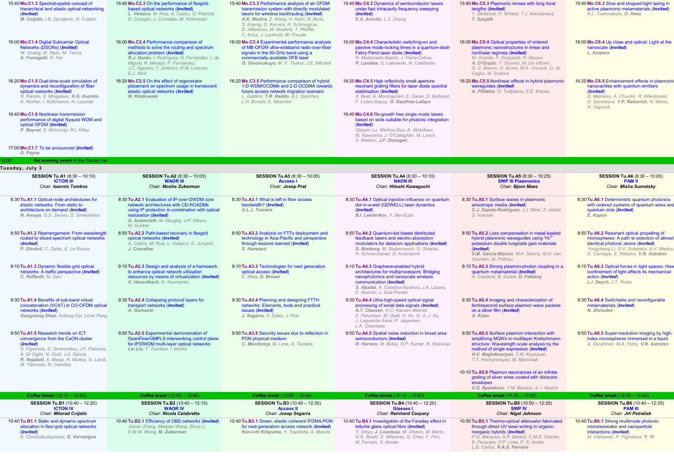#### properties of ordered ructures in linear and s (*Invited*)

15:40 **Mo.C6.3** Slow and stopped-light lasing in active plasmonic metamaterials (*Invited*) *K.L. Tsakmakidis, O. Hess*

#### 16:20 Mo.C6.5 Enhancement effects in plasmonic nanocavities with quantum emitters (*Invited*)

16:00 **Mo.C6.4** Up close and optical: Light at the nanoscale (*Invited*) *L. Kuipers*

#### npensation in metal-loaded waveguides using  $Yb^{3+}$ tungstate gain materials

*D. Melnikau, A. Chuvilin, R. Hillenbrand,* 

- *D. Savateeva, Y.P. Rakovich, N. Weiss,*
- *N. Gaponik*

**SESSION Tu.A6** (8:30 – 10:05) **PAM II** *Chair: Misha Sumetsky*

8:30 **Tu.A6.1** Deterministic quantum photonics with ordered systems of quantum wires and quantum dots (*Invited*) *E. Kapon*

| 15:40 Mo.C1.3 Spectral-spatial concept of<br>hierarchical and elastic optical networking<br>(Invited)<br>M. Cvijetic, I.B. Djordjevic, N. Cvijetic                                                                                                      | 15:40 Mo.C2.3 On the performance of flexgrid-<br>based optical networks (Invited)<br>L. Velasco, M. Ruiz, A. Castro, O. Pedrola,<br>D. Careglio, J. Comellas, M. Klinkowski                                                                                       | 15:40 Mo.C3.3 Performance analysis of an OFDM<br>transmission system with directly modulated<br>lasers for wireless backhauling (Invited)<br>A.K. Mishra, Z. Wang, H. Klein, R. Bonk,<br>S. Koenig, D. Karnick, R. Schmogrow,<br>D. Hillerkuss, M. Moehrle, T. Pfeiffer,<br>C. Koos. J. Leuthold. W. Freude | 15:40 Mo.C4.3 Dynamics of semiconductor lasers<br>under fast intracavity frequency sweeping<br>(Invited)<br>E.A. Avrutin, L.Z. Zhang                                                                                                           | 15:40 Mo.C5.3 Plasmonic lenses with long focal<br>lengths ( <i>Invited</i> )<br>T. Stefaniuk, P. Wróbel, T.J. Antosiewicz,<br>T. Szoplik                                                                                                                                     | 15:40 Mo.C6.3 Slow and stopped-lig<br>active plasmonic metamaterial<br>K.L. Tsakmakidis. O. Hess                                                                            |
|---------------------------------------------------------------------------------------------------------------------------------------------------------------------------------------------------------------------------------------------------------|-------------------------------------------------------------------------------------------------------------------------------------------------------------------------------------------------------------------------------------------------------------------|-------------------------------------------------------------------------------------------------------------------------------------------------------------------------------------------------------------------------------------------------------------------------------------------------------------|------------------------------------------------------------------------------------------------------------------------------------------------------------------------------------------------------------------------------------------------|------------------------------------------------------------------------------------------------------------------------------------------------------------------------------------------------------------------------------------------------------------------------------|-----------------------------------------------------------------------------------------------------------------------------------------------------------------------------|
| 16:00 Mo.C1.4 Digital Subcarrier Optical<br>Networks (DSONs) (Invited)<br>W. Huang, M. Razo, M. Tacca,<br>A. Fumagalli, R. Hui                                                                                                                          | 16:00 Mo.C2.4 Performance comparison of<br>methods to solve the routing and spectrum<br>allocation problem (Invited)<br>R.J. Durán, I. Rodríguez, N. Fernández, I. de<br>Miguel, N. Merayo, P. Fernández,<br>J.C. Aguado, T. Jiménez, R.M. Lorenzo,<br>E.J. Abril | 16:00 Mo.C3.4 Experimental performance analysis<br>of MB-OFDM ultra-wideband radio-over-fiber<br>signals in the 60-GHz band using a<br>commercially-available DFB laser<br>O. Omomukuyo, M. P. Thakur, J.E. Mitchell                                                                                        | 16:00 Mo.C4.4 Characteristic switching-on and<br>passive mode-locking times in a quantum-dash<br>Fabry-Pérot laser diode (Invited)<br>R. Maldonado-Basilio. J. Parra-Cetina.<br><b>P. Landais</b> , S. Latkowski, N. Calabretta                | 16:00 Mo.C5.4 Optical properties of ordered<br>plasmonic nanostructures in linear and<br>nonlinear regimes (Invited)<br>M. Grande, F. Dioguardi, R. Marani,<br>A. D'Orazio. T. Stomeo. M. De Vittorio.<br>G. V. Bianco, G. Bruno, M.A. Vincenti, D. de<br>Ceglia, M. Scalora | 16:00 Mo.C6.4 Up close and optical:<br>nanoscale (Invited)<br>L. Kuipers                                                                                                    |
| 16:20 Mo.C1.5 Dual-time-scale simulation of<br>dynamics and reconfiguration of fiber<br>optical networks (Invited)<br>N. Karelin, S. Mingaleev, K.G. Kuzmin,<br>A. Richter, I. Koltchanov, H. Louchet                                                   | 16:20 Mo.C2.5 On the effect of regenerator<br>placement on spectrum usage in translucent<br>elastic optical networks (Invited)<br><b>M. Klinkowski</b>                                                                                                            | 16:20 Mo.C3.5 Performance comparison of hybrid<br>1-D WDM/OCDMA and 2-D OCDMA towards<br>future access network migration scenario<br>L. Galdino, T.R. Raddo, A.L. Sanches,<br>L.H. Bonani, E. Moschim                                                                                                       | 16:20 Mo.C4.5 High reflectivity small aperture<br>resonant grating filters for laser diode spectral<br>stabilisation (Invited)<br>X. Buet, A. Monmayrant, E. Daran, D. Belharet,<br>F. Lozes-Dupuy, O. Gauthier-Lafaye                         | 16:20 Mo.C5.5 Nonlinear effects in hybrid plasmonic<br>waveguides ( <i>Invited</i> )<br>A. Pitilakis, O. Tsilipakos, E.E. Kriezis                                                                                                                                            | 16:20 Mo.C6.5 Enhancement effects<br>nanocavities with quantum em<br>(Invited)<br>D. Melnikau, A. Chuvilin, R. Hi<br>D. Savateeva, Y.P. Rakovich,<br>N. Gaponik             |
| 16:40 Mo.C1.6 Nonlinear transmission<br>performance of digital Nyquist WDM and<br>optical OFDM ( <i>Invited</i> )<br>P. Bayvel, S. Kilmurray, R.I. Killey                                                                                               |                                                                                                                                                                                                                                                                   |                                                                                                                                                                                                                                                                                                             | 16:40 Mo.C4.6 Re-growth free single mode lasers<br>based on slots suitable for photonic integration<br>(Invited)<br>Qiaoyin Lu, Weihua Guo, A. Abdullaev,<br>M. Nawrocka, J. O'Callaghan, M. Lynch,<br>V. Weldon, J.F. Donegan                 |                                                                                                                                                                                                                                                                              |                                                                                                                                                                             |
| 17:00 Mo.C1.7 To be announced (Invited)<br>D. Payne                                                                                                                                                                                                     |                                                                                                                                                                                                                                                                   |                                                                                                                                                                                                                                                                                                             |                                                                                                                                                                                                                                                |                                                                                                                                                                                                                                                                              |                                                                                                                                                                             |
| 19:00<br><b>ffet evening event in the Rootes bar</b>                                                                                                                                                                                                    |                                                                                                                                                                                                                                                                   |                                                                                                                                                                                                                                                                                                             |                                                                                                                                                                                                                                                |                                                                                                                                                                                                                                                                              |                                                                                                                                                                             |
| Tuesday, July 3<br><b>SESSION Tu.A1</b> (8:30 - 10:10)                                                                                                                                                                                                  | <b>SESSION Tu.A2</b> (8:30 - 10:05)                                                                                                                                                                                                                               | <b>SESSION Tu.A3</b> (8:30 - 10:05)                                                                                                                                                                                                                                                                         | <b>SESSION Tu.A4 (8:30 - 10:10)</b>                                                                                                                                                                                                            | <b>SESSION Tu.A5 (8:30 - 10:25)</b>                                                                                                                                                                                                                                          | <b>SESSION Tu.A6 (8:30 -</b>                                                                                                                                                |
| <b>ICTON III</b><br><b>Chair: Ioannis Tomkos</b>                                                                                                                                                                                                        | <b>WAOR III</b><br><b>Chair: Moshe Zukerman</b>                                                                                                                                                                                                                   | <b>Access I</b><br>Chair: Josep Prat                                                                                                                                                                                                                                                                        | <b>NAON III</b><br>Chair: Hitoshi Kawaguchi                                                                                                                                                                                                    | <b>SWP III Plasmonics</b><br>Chair: Bjorn Maes                                                                                                                                                                                                                               | <b>PAM II</b><br><b>Chair: Misha Sumet</b>                                                                                                                                  |
| 8:30 Tu.A1.1 Optical node architectures for<br>elastic networks: From static to                                                                                                                                                                         | 8:30 Tu.A2.1 Evaluation of IP-over-DWDM core<br>network architectures with CD-ROADMs                                                                                                                                                                              | 8:30 Tu.A3.1 What is left in fiber access<br>bandwidth? (Invited)                                                                                                                                                                                                                                           | 8:30 Tu.A4.1 Optical injection influence on quantum<br>dot-in-a-well (QDWELL) laser dynamics                                                                                                                                                   | 8:30 Tu.A5.1 Surface waves in plasmonic<br>anisotropic media (Invited)                                                                                                                                                                                                       | 8:30 Tu.A6.1 Deterministic quantur<br>with ordered systems of quant                                                                                                         |
| architecture on demand (Invited)<br>N. Amaya, G.S. Zervas, D. Simeonidou                                                                                                                                                                                | using IP protection in combination with optical<br>restoration (Invited)<br>A. Autenrieth, M. Neugirg, J-P. Elbers,<br>M. Gunkel                                                                                                                                  | A.L.J. Teixeira                                                                                                                                                                                                                                                                                             | (Invited)<br>B.I. Lembrikov, Y. Ben-Ezra                                                                                                                                                                                                       | C.J. Zapata-Rodríguez, J.J. Miret, Z. Jakšić,<br>S. Vuković                                                                                                                                                                                                                  | quantum dots (Invited)<br>E. Kapon                                                                                                                                          |
| 8:50 Tu.A1.2 Rearrangement: From wavelength<br>routed to sliced-spectrum optical networks<br>(Invited)<br>P. Ghobril, C. Zaiter, E. Le Rouzic                                                                                                           | 8:50 Tu.A2.2 Path-based recovery in flexgrid<br>optical networks (Invited)<br>A. Castro, M. Ruiz, L. Velasco, G. Junyent,<br>J. Comellas                                                                                                                          | 8:50 Tu.A3.2 Analysis on FTTx deployment and<br>technology in Asia-Pacific and perspective<br>through lessons learned (Invited)<br>S. Hanatani                                                                                                                                                              | 8:50 Tu.A4.2 Quantum-dot based distributed<br>feedback lasers and electro-absorption<br>modulators for datacom applications (Invited)<br>D. Bimberg, M. Stubenrauch, G. Stracke,<br>H. Schmeckebier, D. Arsenijević                            | 8:50 Tu.A5.2 Loss compensation in metal-loaded<br>hybrid plasmonic waveguides using Yb <sup>3+</sup><br>potassium double tungstate gain materials<br>(Invited)<br>S.M. García-Blanco, M.A. Sefunç, M.H. van<br>Voorden, M. Pollnau                                           | 8:50 Tu.A6.2 Resonant optical prop<br>microspheres: A path to select<br>identical photonic atoms (Invit<br>Yangcheng Li, O.V. Svitelskiy,<br>D. Carnegie, E. Rafailov, V.N. |
| 9:10 Tu.A1.3 Dynamic flexible grid optical<br>networks: A traffic perspective (Invited)<br>C. Raffaelli, M. Savi                                                                                                                                        | 9:10 Tu.A2.3 Design and analysis of a framework<br>to enhance optical network utilization<br>resources by means of virtualization (Invited)<br>X. Hesselbach, N. Naumenko                                                                                         | 9:10 Tu.A3.3 Technologies for next generation<br>optical access (Invited)<br>E. Weis, D. Breuer                                                                                                                                                                                                             | 9:10 Tu.A4.3 Graphene-enabled hybrid<br>architectures for multiprocessors: Bridging<br>nanophotonics and nanoscale wireless<br>communication ( <i>Invited</i> )<br>S. Abadal, A. Cabellos-Aparicio, J.A. Lázaro,<br>E. Alarcón, J. Solé-Pareta | 9:10 Tu.A5.3 Strong plasmon-photon coupling in a<br>quantum metamaterial (Invited)<br>A. Castanié, B. Guizal, D. Felbacq                                                                                                                                                     | 9:10 Tu.A6.3 Optical forces in tight<br>confinement of light affects its<br>action (Invited)<br>L.I. Deych, J.T. Rubin                                                      |
| 9:30 Tu.A1.4 Benefits of sub-band virtual<br>concatenation (VCAT) in CO-OFDM optical<br>networks (Invited)<br>Gangxiang Shen, Anliang Cai, Limei Peng                                                                                                   | 9:30 Tu.A2.4 Collapsing protocol layers for<br>transport networks (Invited)<br>A. Gumaste                                                                                                                                                                         | 9:30 Tu.A3.4 Planning and designing FTTH<br>networks: Elements, tools and practical<br>issues ( <b>Invited</b> )<br>J. Segarra, V. Sales, J. Prat                                                                                                                                                           | 9:30 Tu.A4.4 Ultra-high-speed optical signal<br>processing of serial data signals (Invited)<br>A.T. Clausen, H.C. Hansen Mulvad.<br>E. Palushani, M. Galili, H. Hu, H. Ji, J. Xu,<br>J. Laguardia Areal, P. Jeppesen,<br>L.K. Oxenløwe         | 9:30 Tu.A5.4 Imaging and characterization of<br>femtosecond surface plasmon wave packets<br>on a silver film ( <i>Invited</i> )<br>A. Kubo                                                                                                                                   | 9:30 Tu.A6.4 Switchable and recon<br>metamaterials (Invited)<br>N. Zheludev                                                                                                 |
| 9:50 Tu.A1.5 Research trends on ICT<br>convergence from the CaON cluster<br>(Invited)<br>S. Figuerola, D. Simeonidou, J.F. Palacios,<br>A. Di Giglio, N. Ciulli, J.A. Garcia,<br>R. Nejabati, X. Masip, R. Muñoz, G. Landi,<br>M. Yannuzzi, R. Casellas | 9:50 Tu.A2.5 Experimental demonstration of<br>OpenFlow/GMPLS interworking control plane<br>for IP/DWDM multi-layer optical networks<br>Lei Liu, T. Tsuritani, I. Morita                                                                                           | 9:50 Tu.A3.5 Security issues due to reflection in<br>PON physical medium<br>C. Mendonça, M. Lima, A. Teixeira                                                                                                                                                                                               | 9:50 Tu.A4.5 Spatial noise reduction in broad area<br>semiconductors ( <i>Invited</i> )<br>R. Herrero, M. Botey, N.P. Kumar, K. Staliunas                                                                                                      | 9:50 Tu.A5.5 Surface plasmon interaction with<br>amplifying MQWs in multilayer Kretschmann<br>structure: Wavelength scale analysis by the<br>method of single expression (Invited)<br>H.V. Baghdasaryan, T.M. Knyazyan,<br>T.T. Hovhannisyan, M. Marciniak                   | 9:50 Tu.A6.5 Super-resolution image<br>index microspheres immersed<br>A. Darafsheh, M.A. Fiddy, V.N.                                                                        |
|                                                                                                                                                                                                                                                         |                                                                                                                                                                                                                                                                   |                                                                                                                                                                                                                                                                                                             |                                                                                                                                                                                                                                                | 10:10 Tu.A5.6 Plasmon resonances of an infinite<br>grating of silver wires coated with dielectric<br>envelopes<br>V.O. Byelobrov, T.M. Benson, A. I. Nosich                                                                                                                  |                                                                                                                                                                             |
| <b>Coffee break</b> $(10:10 - 10:40)$                                                                                                                                                                                                                   | <b>Coffee break</b> $(10:05 - 10:40)$                                                                                                                                                                                                                             | <b>Coffee break</b> $(10:05 - 10:40)$                                                                                                                                                                                                                                                                       | <b>Coffee break</b> $(10:10 - 10:40)$                                                                                                                                                                                                          | <b>Coffee break</b> $(10:25 - 10:50)$                                                                                                                                                                                                                                        | <b>Coffee break</b> $(10:05 - 10:40)$                                                                                                                                       |
| <b>SESSION Tu.B1</b> (10:40 - 12:20)<br><b>ICTON IV</b><br>Chair: Milorad Cvijetic                                                                                                                                                                      | <b>SESSION Tu.B2</b> (10:40 - 12:15)<br><b>WAOR IV</b><br>Chair: Nicola Calabretta                                                                                                                                                                                | <b>SESSION Tu.B3</b> (10:40 - 12:30)<br><b>Access II</b><br>Chair: Josep Segarra                                                                                                                                                                                                                            | <b>SESSION Tu.B4</b> (10:40 - 12:20)<br><b>Glasses I</b><br>Chair: Reinhard Caspary                                                                                                                                                            | <b>SESSION Tu.B5</b> (10:50 - 12:25)<br><b>SWP IV</b><br>Chair: Nigel Johnson                                                                                                                                                                                                | <b>SESSION Tu.B6 (10:40)</b><br><b>PAM III</b><br>Chair: Jiří Petráče                                                                                                       |
| 10:40 Tu.B1.1 Static and dynamic spectrum<br>allocation in flexi-grid optical networks<br>(Invited)<br>K. Christodoulopoulos, E. Varvarigos                                                                                                             | 10:40 Tu.B2.1 Efficiency of OBS networks (Invited)<br>Jianan Zhang, Meiqian Wang, Shuo Li,<br>E.W.M. Wong, M. Zukerman                                                                                                                                            | 10:40 Tu.B3.1 Green, elastic coherent IFDMA-PON<br>for next-generation access network (Invited)<br>Ken-ichi Kitayama, Y. Yopshida, A. Maruta                                                                                                                                                                | 10:40 Tu.B4.1 Investigation of the Faraday effect in<br>tellurite glass optical fibre (Invited)<br>Y. Shiyu, J. Lousteau, M. Olivero, M. Merlo,<br>N.G. Boetti, D. Milanese, Q. Chen, F. Pirri,<br>M. Ferraris, S. Abrate                      | 10:50 Tu.B5.1 Thermo-optical attenuator fabricated<br>through direct UV laser writing in organic-<br>inorganic hybrids (Invited)<br>P.G. Marques, A.R. Bastos, C.M.S. Vicente,<br>E. Pecoraro, P.P. Lima, P. S. André,                                                       | 10:40 Tu.B6.1 Strong multimode pho<br>microresonator and nanopartic<br>interactions (Invited)<br>M. Ostrowski, P. Pignalosa, Y.                                             |

#### nic lenses with long focal

laser writing in organic-(*Invited*) *P.G. Marques, A.R. Bastos, C.M.S. Vicente, E. Pecoraro, P.P. Lima, P. S. André, L.D. Carlos, R.A.S. Ferreira*

8:50 **Tu.A6.2** Resonant optical propelling of microspheres: A path to selection of almost identical photonic atoms (*Invited*) *Yangcheng Li, O.V. Svitelskiy, A.V. Maslov, D. Carnegie, E. Rafailov, V.N. Astratov*

9:10 **Tu.A6.3** Optical forces in tight spaces: How confinement of light affects its mechanical action (*Invited*) *L.I. Deych, J.T. Rubin*

9:30 **Tu.A6.4** Switchable and reconfigurable metamaterials (*Invited*) *N. Zheludev*

9:50 **Tu.A6.5** Super-resolution imaging by highindex microspheres immersed in a liquid *A. Darafsheh, M.A. Fiddy, V.N. Astratov*

**SESSION Tu.B6** (10:40 – 12:35) **PAM III** *Chair: Jiří Petráček*

10:40 **Tu.B6.1** Strong multimode photonic microresonator and nanoparticle interactions (*Invited*) *M. Ostrowski, P. Pignalosa, Y. Yi*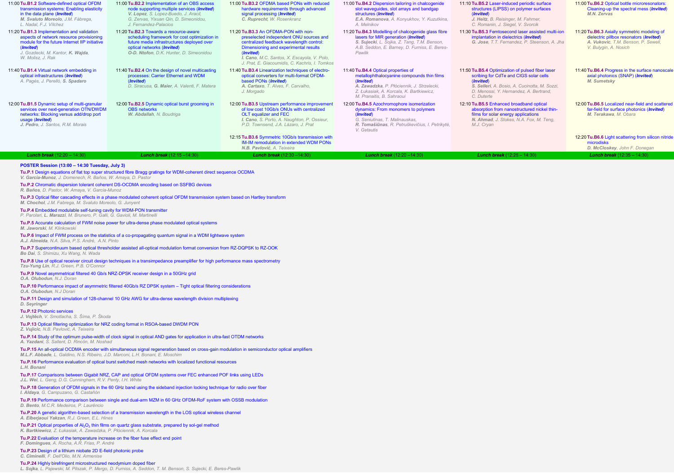11:00 **Tu.B6.2** Optical bottle microresonators: Cleaning-up the spectral mess (*Invited*) *M.N. Zervas*

11:20 **Tu.B6.3** Axially symmetric modeling of dielectric pillbox resonators (*Invited*) *A. Vukovic, T.M. Benson, P. Sewell, V. Bulygin, A. Nosich*

# scribing for CdTe and CIGS solar cells

11:40 **Tu.B6.4** Progress in the surface nanoscale axial photonics (SNAP) (*Invited*) *M. Sumetsky*

| 11:00 Tu.B1.2 Software-defined optical OFDM<br>transmission systems: Enabling elasticity<br>in the data plane (Invited)<br>M. Svaluto Moreolo, J.M. Fàbrega,<br>L. Nadal, F.J. Vilchez                          | 11:00 Tu.B2.2 Implementation of an OBS access<br>node supporting multiple services (Invited)<br>V. Lopez, S. Lopez-Buedo, J. Aracil,<br>G. Zervas, Yixuan Qin, D. Simeonidou,<br>J. Fernandez-Palacios                | 11:00 Tu.B3.2 OFDMA based PONs with reduced<br>hardware requirements through advanced<br>signal processing (Invited)<br>C. Ruprecht, W. Rosenkranz                                                                                                                                 | 11:00 Tu.B4.2 Dispersion tailoring in chalcogenide<br>slot waveguides, slot arrays and bandgap<br>structures (Invited)<br>E.A. Romanova, A. Konyukhov, Y. Kuzutkina,<br>A. Melnikov                                   | 11:10 Tu.B5.2 Laser-induced periodic surface<br>structures (LIPSS) on polymer surfaces<br>(Invited)<br>J. Heitz, B. Reisinger, M. Fahrner,<br>C. Romanin, J. Siegel, V. Svorcik                                  | 11:00 Tu.B6.2 Optical bottle microre<br>Cleaning-up the spectral mess<br><b>M.N. Zervas</b>                                     |
|-----------------------------------------------------------------------------------------------------------------------------------------------------------------------------------------------------------------|-----------------------------------------------------------------------------------------------------------------------------------------------------------------------------------------------------------------------|------------------------------------------------------------------------------------------------------------------------------------------------------------------------------------------------------------------------------------------------------------------------------------|-----------------------------------------------------------------------------------------------------------------------------------------------------------------------------------------------------------------------|------------------------------------------------------------------------------------------------------------------------------------------------------------------------------------------------------------------|---------------------------------------------------------------------------------------------------------------------------------|
| 11:20 Tu.B1.3 Implementation and validation<br>aspects of network resource provisioning<br>module for the future Internet IIP initiative<br>(Invited)<br>J. Gozdecki, M. Kantor, K. Wajda,<br>W. Molisz, J. Rak | 11:20 Tu.B2.3 Towards a resource-aware<br>scheduling framework for cost optimization in<br>future media infrastructures deployed over<br>optical networks (Invited)<br><b>O-D. Ntofon.</b> D.K. Hunter. D. Simeonidou | 11:20 Tu.B3.3 An OFDMA-PON with non-<br>preselected independent ONU sources and<br>centralized feedback wavelength control:<br>Dimensioning and experimental results<br>(Invited)<br>I. Cano, M.C. Santos, X. Escayola, V. Polo,<br>J. Prat. E. Giacoumidis, C. Kachris, I. Tomkos | 11:20 Tu.B4.3 Modelling of chalcogenide glass fibre<br>lasers for MIR generation (Invited)<br>S. Sujecki, L. Sojka, Z. Tang, T.M. Benson,<br>A.B. Seddon, E. Barney, D. Furniss, E. Beres-<br>Pawlik                  | 11:30 Tu.B5.3 Femtosecond laser assisted multi-ion<br>implantation in dielectrics ( <b>Invited</b> )<br>G. Jose, T.T. Fernandez, P. Steenson, A. Jha                                                             | 11:20 Tu.B6.3 Axially symmetric mo<br>dielectric pillbox resonators (In<br>A. Vukovic, T.M. Benson, P.<br>V. Bulygin, A. Nosich |
| 11:40 Tu.B1.4 Virtual network embedding in<br>optical infrastructures (Invited)<br>A. Pagès, J. Perelló, S. Spadaro                                                                                             | 11:40 Tu.B2.4 On the design of novel multicasting<br>processes: Carrier Ethernet and WDM<br>(Invited)<br>D. Siracusa, G. Maier, A. Valenti, F. Matera                                                                 | 11:40 Tu.B3.4 Linearization techniques of electro-<br>optical converters for multi-format OFDM-<br>based PONs (Invited)<br>A. Cartaxo, T. Alves, F. Carvalho,<br>J. Morgado                                                                                                        | 11:40 Tu.B4.4 Optical properties of<br>metallophthalocyanine compounds thin films<br>(Invited)<br>A. Zawadzka, P. Płóciennik, J. Strzelecki,<br>Z. Łukasiak, A. Korcala, K. Bartkiewicz,<br>M. Pranaitis, B. Sahraoui | 11:50 Tu.B5.4 Optimization of pulsed fiber laser<br>scribing for CdTe and CIGS solar cells<br>(Invited)<br>S. Selleri, A. Bosio, A. Cucinotta, M. Sozzi,<br>D. Menossi, Y. Hernandez, A. Bertrand.<br>C. Duterte | 11:40 Tu.B6.4 Progress in the surfact<br>axial photonics (SNAP) (Invite<br><b>M. Sumetsky</b>                                   |
| 12:00 Tu.B1.5 Dynamic setup of multi-granular<br>services over next-generation OTN/DWDM<br>networks: Blocking versus add/drop port<br>usage ( <i>Invited</i> )<br>J. Pedro, J. Santos, R.M. Morais              | 12:00 Tu.B2.5 Dynamic optical burst grooming in<br><b>OBS networks</b><br>W. Abdallah, N. Boudriga                                                                                                                    | 12:00 Tu.B3.5 Upstream performance improvement<br>of low cost 10Gb/s ONUs with centralized<br><b>OLT</b> equalizer and FEC<br>I. Cano, S. Porto, A. Naughton, P. Ossieur,<br>P.D. Townsend, J.A. Lázaro, J. Prat                                                                   | 12:00 Tu.B4.5 Azochromophore isomerization<br>dynamics: From monomers to polymers<br>(Invited)<br>G. Seniutinas, T. Malinauskas,<br>R. Tomašiūnas, R. Petruškevičius, I. Petrikytė,<br>V. Getautis                    | 12:10 Tu.B5.5 Enhanced broadband optical<br>absorption from nanostructured nickel thin-<br>films for solar energy applications<br>N. Ahmad, J. Stokes, N.A. Fox, M. Teng,<br>M.J. Cryan                          | 12:00 Tu.B6.5 Localized near-field a<br>far-field for surface photonics<br>M. Terakawa, M. Obara                                |
|                                                                                                                                                                                                                 |                                                                                                                                                                                                                       | 12:15 Tu.B3.6 Symmetric 10Gb/s transmission with<br>IM-IM remodulation in extended WDM PONs<br>N.B. Pavlović, A. Teixeira                                                                                                                                                          |                                                                                                                                                                                                                       |                                                                                                                                                                                                                  | 12:20 Tu.B6.6 Light scattering from<br>microdisks<br>D. McCloskey, John F. Doneg                                                |
| <b>Lunch break</b> $(12:20 - 14:30)$                                                                                                                                                                            | <b>Lunch break</b> $(12:15 - 14:30)$                                                                                                                                                                                  | <b>Lunch break</b> $(12:30 - 14:30)$                                                                                                                                                                                                                                               | <b>Lunch break</b> $(12:20 - 14:30)$                                                                                                                                                                                  | <b>Lunch break</b> $(12:25 - 14:30)$                                                                                                                                                                             | <b>Lunch break</b> $(12:35 - 14:30)$                                                                                            |
| POSTER Session (13:00 - 14:30 Tuesday, July 3)<br>V. Garcia-Munoz, J. Domenech, R. Baños, W. Amaya, D. Pastor                                                                                                   | Tu.P.1 Design equations of flat top super structured fibre Bragg gratings for WDM-coherent direct sequence OCDMA                                                                                                      |                                                                                                                                                                                                                                                                                    |                                                                                                                                                                                                                       |                                                                                                                                                                                                                  |                                                                                                                                 |
| R. Baños, D. Pastor, W. Amaya, V. Garcia-Munoz                                                                                                                                                                  | Tu.P.2 Chromatic dispersion tolerant coherent DS-OCDMA encoding based on SSFBG devices                                                                                                                                |                                                                                                                                                                                                                                                                                    |                                                                                                                                                                                                                       |                                                                                                                                                                                                                  |                                                                                                                                 |
| M. Chochol, J.M. Fabrega, M. Svaluto Moreolo, G. Junyent                                                                                                                                                        | Tu.P.3 Optical filter cascading effects in a phase modulated coherent optical OFDM transmission system based on Hartley transform                                                                                     |                                                                                                                                                                                                                                                                                    |                                                                                                                                                                                                                       |                                                                                                                                                                                                                  |                                                                                                                                 |
| Tu.P.4 Embedded modulable self-tuning cavity for WDM-PON transmitter<br>P. Parolari, L. Marazzi, M. Brunero, P. Galli, G. Gavioli, M. Martinelli                                                                |                                                                                                                                                                                                                       |                                                                                                                                                                                                                                                                                    |                                                                                                                                                                                                                       |                                                                                                                                                                                                                  |                                                                                                                                 |
| M. Jaworski, M. Klinkowski                                                                                                                                                                                      | Tu.P.5 Accurate calculation of FWM noise power for ultra-dense phase modulated optical systems                                                                                                                        |                                                                                                                                                                                                                                                                                    |                                                                                                                                                                                                                       |                                                                                                                                                                                                                  |                                                                                                                                 |
| A.J. Almeida, N.A. Silva, P.S. André, A.N. Pinto                                                                                                                                                                | Tu.P.6 Impact of FWM process on the statistics of a co-propagating quantum signal in a WDM lightwave system                                                                                                           |                                                                                                                                                                                                                                                                                    |                                                                                                                                                                                                                       |                                                                                                                                                                                                                  |                                                                                                                                 |
| Bo Dai. S. Shimizu. Xu Wang. N. Wada                                                                                                                                                                            | Tu.P.7 Supercontinuum based optical thresholder assisted all-optical modulation format conversion from RZ-DQPSK to RZ-OOK                                                                                             |                                                                                                                                                                                                                                                                                    |                                                                                                                                                                                                                       |                                                                                                                                                                                                                  |                                                                                                                                 |
| Tzu-Yung Lin, R.J. Green, P.B. O'Connor                                                                                                                                                                         | Tu.P.8 Use of optical receiver circuit design techniques in a transimpedance preamplifier for high performance mass spectrometry                                                                                      |                                                                                                                                                                                                                                                                                    |                                                                                                                                                                                                                       |                                                                                                                                                                                                                  |                                                                                                                                 |
| Tu.P.9 Novel asymmetrical filtered 40 Gb/s NRZ-DPSK receiver design in a 50GHz grid<br>O.A. Olubodun. N.J. Doran                                                                                                |                                                                                                                                                                                                                       |                                                                                                                                                                                                                                                                                    |                                                                                                                                                                                                                       |                                                                                                                                                                                                                  |                                                                                                                                 |
| O.A. Olubodun, N.J Doran                                                                                                                                                                                        | Tu.P.10 Performance impact of asymmetric filtered 40Gb/s RZ DPSK system - Tight optical filtering considerations                                                                                                      |                                                                                                                                                                                                                                                                                    |                                                                                                                                                                                                                       |                                                                                                                                                                                                                  |                                                                                                                                 |
| D. Seyringer                                                                                                                                                                                                    | Tu.P.11 Design and simulation of 128-channel 10 GHz AWG for ultra-dense wavelength division multiplexing                                                                                                              |                                                                                                                                                                                                                                                                                    |                                                                                                                                                                                                                       |                                                                                                                                                                                                                  |                                                                                                                                 |
| Tu.P.12 Photonic services<br>J. Vojtěch, V. Smotlacha, S. Šíma, P. Škoda<br>Z. Vujicic, N.B. Pavlović, A. Teixeira                                                                                              | Tu.P.13 Optical filtering optimization for NRZ coding format in RSOA-based DWDM PON                                                                                                                                   |                                                                                                                                                                                                                                                                                    |                                                                                                                                                                                                                       |                                                                                                                                                                                                                  |                                                                                                                                 |
| A. Yazdani, S. Sallent, D. Rincón, M. Noshad                                                                                                                                                                    | Tu.P.14 Study of the optimum pulse-width of clock signal in optical AND gates for application in ultra-fast OTDM networks                                                                                             |                                                                                                                                                                                                                                                                                    |                                                                                                                                                                                                                       |                                                                                                                                                                                                                  |                                                                                                                                 |
| M.L.F. Abbade, L. Galdino, N.S. Ribeiro, J.D. Marconi, L.H. Bonani, E. Moschim                                                                                                                                  | Tu.P.15 An all-optical OCDMA encoder with simultaneous signal regeneration based on cross-gain modulation in semiconductor optical amplifiers                                                                         |                                                                                                                                                                                                                                                                                    |                                                                                                                                                                                                                       |                                                                                                                                                                                                                  |                                                                                                                                 |
| L.H. Bonani                                                                                                                                                                                                     | Tu.P.16 Performance evaluation of optical burst switched mesh networks with localized functional resources                                                                                                            |                                                                                                                                                                                                                                                                                    |                                                                                                                                                                                                                       |                                                                                                                                                                                                                  |                                                                                                                                 |
| J.L. Wei, L. Geng, D.G. Cunningham, R.V. Penty, I.H. White                                                                                                                                                      | Tu.P.17 Comparisons between Gigabit NRZ, CAP and optical OFDM systems over FEC enhanced POF links using LEDs                                                                                                          |                                                                                                                                                                                                                                                                                    |                                                                                                                                                                                                                       |                                                                                                                                                                                                                  |                                                                                                                                 |
| I. Aldaya, G. Campuzano, G. Castañón                                                                                                                                                                            | Tu.P.18 Generation of OFDM signals in the 60 GHz band using the sideband injection locking technique for radio over fiber                                                                                             |                                                                                                                                                                                                                                                                                    |                                                                                                                                                                                                                       |                                                                                                                                                                                                                  |                                                                                                                                 |
| D. Bento, M.C.R. Medeiros, P. Laurêncio                                                                                                                                                                         | Tu.P.19 Performance comparison between single and dual-arm MZM in 60 GHz OFDM-RoF system with OSSB modulation                                                                                                         |                                                                                                                                                                                                                                                                                    |                                                                                                                                                                                                                       |                                                                                                                                                                                                                  |                                                                                                                                 |
| A. Elberjaoui Yakzan, R.J. Green, E.L. Hines                                                                                                                                                                    | Tu.P.20 A genetic algorithm-based selection of a transmission wavelength in the LOS optical wireless channel                                                                                                          |                                                                                                                                                                                                                                                                                    |                                                                                                                                                                                                                       |                                                                                                                                                                                                                  |                                                                                                                                 |
| K. Bartkiewicz, Z. Łukasiak, A. Zawadzka, P. Płóciennik, A. Korcala                                                                                                                                             | Tu.P.21 Optical properties of Al <sub>2</sub> O <sub>3</sub> thin films on quartz glass substrate, prepared by sol-gel method                                                                                         |                                                                                                                                                                                                                                                                                    |                                                                                                                                                                                                                       |                                                                                                                                                                                                                  |                                                                                                                                 |
| Tu.P.22 Evaluation of the temperature increase on the fiber fuse effect end point<br>F. Domingues, A. Rocha, A.R. Frias, P. André                                                                               |                                                                                                                                                                                                                       |                                                                                                                                                                                                                                                                                    |                                                                                                                                                                                                                       |                                                                                                                                                                                                                  |                                                                                                                                 |
| Tu.P.23 Design of a lithium niobate 2D E-field photonic probe<br>C. Ciminelli, F. Dell'Olio, M.N. Armenise                                                                                                      |                                                                                                                                                                                                                       |                                                                                                                                                                                                                                                                                    |                                                                                                                                                                                                                       |                                                                                                                                                                                                                  |                                                                                                                                 |

12:00 **Tu.B6.5** Localized near-field and scattered far-field for surface photonics (*Invited*) *M. Terakawa, M. Obara*

12:20 **Tu.B6.6** Light scattering from silicon nitride microdisks *D. McCloskey, John F. Donegan*

**Tu.P.24** Highly birefringent microstructured neodymium doped fiber

*L. Sojka, L. Pajewski, M. Pilszak, P. Mergo, D. Furniss, A. Seddon, T. M. Benson, S. Sujecki, E. Beres-Pawlik*

### **1** duced periodic surface ) on polymer surfaces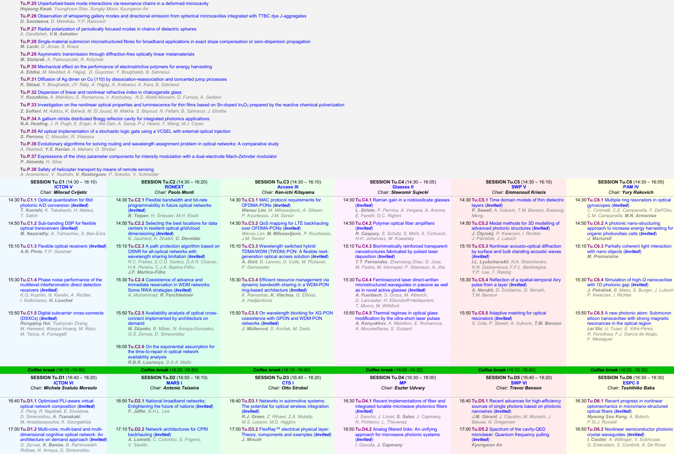#### **SEDS** (14:30 – 16:10) **SWP V** *Chair: Emmanouil Kriezis*

#### nethods for 3D modelling of nic structures (*Invited*) *J. Čtyroký, P. Kwiecien, I. Richter, J. Petráček, J. Luksch*

#### **SESSION Tu.C6** (14:30 – 16:05) **PAM IV**  *Chair: Yury Rakovich*

14:30 **Tu.C6.1** Multiple ring resonators in optical gyroscopes (*Invited*) *C. Ciminelli, C.E. Campanella, F. Dell'Olio, C.M. Campanella, M.N. Armenise*

### **15** e meshing for optical resonators (*Invited*) *S. Cole, P. Sewell, A. Vukovic, T.M. Benson*

14:50 **Tu.C6.2** A photonic nano-structuring approach to increase energy harvesting for organic photovoltaic cells (*Invited*) *J. Martorell*

| Hojeong Kwak, Younghoon Shin, Songky Moon, Kyungwon An                                                                                                                                                              | Tu.P.25 Unperturbed-basis mode interactions via resonance chains in a deformed microcavity                                                                                                                                                                                                  |                                                                                                                                                                                                  |                                                                                                                                                                                                                                                            |                                                                                                                                                                                                                      |                                                                                                                                                                                              |
|---------------------------------------------------------------------------------------------------------------------------------------------------------------------------------------------------------------------|---------------------------------------------------------------------------------------------------------------------------------------------------------------------------------------------------------------------------------------------------------------------------------------------|--------------------------------------------------------------------------------------------------------------------------------------------------------------------------------------------------|------------------------------------------------------------------------------------------------------------------------------------------------------------------------------------------------------------------------------------------------------------|----------------------------------------------------------------------------------------------------------------------------------------------------------------------------------------------------------------------|----------------------------------------------------------------------------------------------------------------------------------------------------------------------------------------------|
| D. Savateeva, D. Melnikau, Y.P. Rakovich                                                                                                                                                                            | Tu.P.26 Observation of whispering gallery modes and directional emission from spherical microcavities integrated with TTBC dye J-aggregates                                                                                                                                                 |                                                                                                                                                                                                  |                                                                                                                                                                                                                                                            |                                                                                                                                                                                                                      |                                                                                                                                                                                              |
| Tu.P.27 Radial polarization of periodically focused modes in chains of dielectric spheres<br>A. Darafsheh, V.N. Astratov                                                                                            |                                                                                                                                                                                                                                                                                             |                                                                                                                                                                                                  |                                                                                                                                                                                                                                                            |                                                                                                                                                                                                                      |                                                                                                                                                                                              |
| <b>M. Lucki</b> . D. Jiruse. S. Kraus                                                                                                                                                                               | Tu.P.28 Single-material submicron microstructured fibres for broadband applications in exact slope compensation or zero-dispersion propagation                                                                                                                                              |                                                                                                                                                                                                  |                                                                                                                                                                                                                                                            |                                                                                                                                                                                                                      |                                                                                                                                                                                              |
| Tu.P.29 Asymmetric transmission through diffraction-free optically linear metamaterials<br>M. Stolarek, A. Pastuszczak, R. Kotyński                                                                                 |                                                                                                                                                                                                                                                                                             |                                                                                                                                                                                                  |                                                                                                                                                                                                                                                            |                                                                                                                                                                                                                      |                                                                                                                                                                                              |
| A. Eddiai, M. Meddad, A. Hajjaji, D. Guyomar, Y. Boughaleb, B. Sahraoui                                                                                                                                             | Tu.P.30 Mechanical effect on the performance of electrostrictive polymers for energy harvesting                                                                                                                                                                                             |                                                                                                                                                                                                  |                                                                                                                                                                                                                                                            |                                                                                                                                                                                                                      |                                                                                                                                                                                              |
|                                                                                                                                                                                                                     | Tu.P.31 Diffusion of Ag dimer on Cu (110) by dissociation-reassociation and concerted jump processes                                                                                                                                                                                        |                                                                                                                                                                                                  |                                                                                                                                                                                                                                                            |                                                                                                                                                                                                                      |                                                                                                                                                                                              |
| K. Sbiaai, Y. Boughaleb, JY. Raty, A. Hajjaji, A. Arabaoui, A. Kara, B. Sahraoui<br>Tu.P.32 Dispersion of linear and nonlinear refractive index in chalcogenide glass                                               |                                                                                                                                                                                                                                                                                             |                                                                                                                                                                                                  |                                                                                                                                                                                                                                                            |                                                                                                                                                                                                                      |                                                                                                                                                                                              |
|                                                                                                                                                                                                                     | Y. Kuzutkina, A. Melnikov, E. Romanova, V. Kochubey, N.S. Abdel-Moneim, D. Furniss, A. Seddon<br>Tu.P.33 Investigation on the nonlinear optical properties and luminescence for thin films based on Sn-doped In <sub>2</sub> O <sub>3</sub> prepared by the reactive chemical pulverization |                                                                                                                                                                                                  |                                                                                                                                                                                                                                                            |                                                                                                                                                                                                                      |                                                                                                                                                                                              |
|                                                                                                                                                                                                                     | Z. Sofiani, M. Addou, K. Bahedi, M. El Jouad, M. Makha, S. Bayoud, N. Fellahi, B. Sahraoui, J. Ebothe<br>Tu.P.34 A gallium nitride distributed Bragg reflector cavity for integrated photonics applications                                                                                 |                                                                                                                                                                                                  |                                                                                                                                                                                                                                                            |                                                                                                                                                                                                                      |                                                                                                                                                                                              |
| S. Perrone, C. Masoller, R. Vilaseca                                                                                                                                                                                | N.A. Hueting, J. R. Pugh, E. Engin, A. Md Zain, A. Sarua, P.J. Heard, T. Wang, M.J. Cryan<br>Tu.P.35 All optical implementation of a stochastic logic gate using a VCSEL with external optical injection                                                                                    |                                                                                                                                                                                                  |                                                                                                                                                                                                                                                            |                                                                                                                                                                                                                      |                                                                                                                                                                                              |
| A. Rashedi, Y.S. Kavian, A. Mahani, O. Strobel                                                                                                                                                                      | Tu.P.36 Evolutionary algorithms for solving routing and wavelength assignment problem in optical networks: A comparative study                                                                                                                                                              |                                                                                                                                                                                                  |                                                                                                                                                                                                                                                            |                                                                                                                                                                                                                      |                                                                                                                                                                                              |
| P. Almeida, H. Silva                                                                                                                                                                                                | Tu.P.37 Expressions of the chirp parameter components for intensity modulation with a dual-electrode Mach-Zehnder modulator                                                                                                                                                                 |                                                                                                                                                                                                  |                                                                                                                                                                                                                                                            |                                                                                                                                                                                                                      |                                                                                                                                                                                              |
| Tu.P.38 Safety of helicopter transport by means of remote sensing<br>A. Ananenkov, V. Nuzhdin, V. Rastorguev, P. Sokolov, V. Schneider                                                                              |                                                                                                                                                                                                                                                                                             |                                                                                                                                                                                                  |                                                                                                                                                                                                                                                            |                                                                                                                                                                                                                      |                                                                                                                                                                                              |
| <b>SESSION Tu.C1</b> $(14:30 - 16:10)$<br><b>ICTON V</b><br><b>Chair: Milorad Cvijetic</b>                                                                                                                          | <b>SESSION Tu.C2</b> $(14:30 - 16:20)$<br><b>RONEXT</b><br>Chair: Paolo Monti                                                                                                                                                                                                               | <b>SESSION Tu.C3</b> $(14:30 - 16:10)$<br><b>Access III</b><br>Chair: Ken-ichi Kitayama                                                                                                          | <b>SESSION Tu.C4 (14:30 - 16:05)</b><br><b>Glasses II</b><br>Chair: Sławomir Sujecki                                                                                                                                                                       | <b>SESSION Tu.C5</b> $(14:30 - 16:10)$<br><b>SWP V</b><br><b>Chair: Emmanouil Kriezis</b>                                                                                                                            | <b>SESSION Tu.C6 (14:30)</b><br><b>PAM IV</b><br><b>Chair: Yury Rakov</b>                                                                                                                    |
| 14:30 Tu.C1.1 Optical quantization for 6bit                                                                                                                                                                         | 14:30 Tu.C2.1 Flexible bandwidth and bit-rate                                                                                                                                                                                                                                               | 14:30 Tu.C3.1 MAC protocol requirements for                                                                                                                                                      | 14:30 Tu.C4.1 Raman gain in a niobiosilicate glasses                                                                                                                                                                                                       | 14:30 Tu.C5.1 Time domain models of thin dielectric                                                                                                                                                                  | 14:30 Tu.C6.1 Multiple ring resonate                                                                                                                                                         |
| photonic A/D conversion (Invited)<br>T. Konishi, K. Takahashi, H. Matsui,<br>T. Satoh                                                                                                                               | programmability in future optical networks<br>(Invited)<br><b>B. Teipen, H. Griesser, M.H. Eiselt</b>                                                                                                                                                                                       | OFDMA-PONs (Invited)<br>Wansu Lim, M. Milosavljevic, A. Gliwan,<br>P. Kourtessis, J.M. Senior                                                                                                    | (Invited)<br>L. Sirleto, P. Pernice, A. Vergara, A. Aronne,<br>E. Fanelli, G.C. Righini                                                                                                                                                                    | layers ( <i>Invited</i> )<br><b>P. Sewell</b> , A. Vukovic, T.M. Benson, Xuesong<br>Meng                                                                                                                             | gyroscopes ( <b>Invited</b> )<br>C. Ciminelli, C.E. Campanella<br>C.M. Campanella, M.N. Arme                                                                                                 |
| 14:50 Tu.C1.2 Sub-banding DSP for flexible<br>optical transceivers (Invited)<br>M. Nazarathy, A. Tolmachev, S. Ben-Ezra                                                                                             | 14:50 Tu.C2.2 Selecting the best locations for data<br>centers in resilient optical grid/cloud<br>dimensioning ( <i>Invited</i> )<br>B. Jaumard, A. Shaikh, C. Develder                                                                                                                     | 14:50 Tu.C3.2 QoS mapping for LTE backhauling<br>over OFDMA-PONs (Invited)<br>Wansu Lim, M. Milosavljevic, P. Kourtessis,<br>J.M. Senior                                                         | 14:50 Tu.C4.2 Polymer optical fiber amplifiers<br>(Invited)<br>R. Caspary, S. Schütz, S. Möhl, A. Cichosch,<br>H-H. Johannes, W. Kowalsky                                                                                                                  | 14:50 Tu.C5.2 Modal methods for 3D modelling of<br>advanced photonic structures (Invited)<br>J. Čtyroký, P. Kwiecien, I. Richter,<br>J. Petráček, J. Luksch                                                          | 14:50 Tu.C6.2 A photonic nano-stru<br>approach to increase energy I<br>organic photovoltaic cells (Inv<br>J. Martorell                                                                       |
| 15:10 Tu.C1.3 Flexible optical receivers ( <i>Invited</i> )<br>A.N. Pinto, F.P. Guiomar                                                                                                                             | 15:10 Tu.C2.3 A path protection algorithm based on<br>OSNR for all-optical networks with<br>wavelength sharing limitation (Invited)<br>R.C. Freitas, E.C.O. Santos, D.A.R. Chaves,<br>H.A. Pereira, C.J.A. Bastos-Filho,<br>J.F. Martins-Filho                                              | 15:10 Tu.C3.3 Wavelength switched hybrid<br>TDMA/WDM (TWDM) PON: A flexible next-<br>generation optical access solution (Invited)<br>A. Dixit, B. Lannoo, D. Colle, M. Pickavet,<br>P. Demeester | 15:10 Tu.C4.3 Biomimetically reinforced transparent<br>nanostructures fabricated by pulsed laser<br>deposition ( <i>Invited</i> )<br>T.T. Fernandez, Zhanxiang Zhao, G. Jose,<br>M. Pasha, M. Irannejad, P. Steenson, A. Jha                               | 15:10 Tu.C5.3 Nonlinear acousto-optical diffraction<br>by surface and bulk standing acoustic waves<br>(Invited)<br>I.L. Lyubchanskii, N.A. Shevchenko,<br>N.N. Dadoenkova, F.F.L. Bentivegna,<br>Y.P. Lee, T. Rasing | 15:10 Tu.C6.3 Partially coherent light<br>with nano objects (Invited)<br><b>M. Premaratne</b>                                                                                                |
| 15:30 Tu.C1.4 Phase noise performance of the<br>multilevel interferometric direct detection<br>receivers (Invited)<br>K.G. Kuzmin, N. Karelin, A. Richter,<br>I. Koltchanov, H. Louchet                             | 15:30 Tu.C2.4 Coexistence of advance and<br>immediate reservation in WDM networks:<br>Some RWA strategies (Invited)<br>A. Muhammad, R. Forchheimer                                                                                                                                          | 15:30 Tu.C3.4 Efficient resource management via<br>dynamic bandwidth sharing in a WDM-PON<br>ring-based architecture (Invited)<br>K. Ramantas, K. Vlachos, G. Ellinas,<br>A. Hadjiantonis        | 15:30 Tu.C4.4 Femtosecond laser direct-written<br>microstructured wavequides in passive as well<br>as in novel active glasses ( <i>Invited</i> )<br>A. Fuerbach, S. Gross, M. Alberich.<br>D. Lancaster, H. Ebendorff-Heidepriem,<br>T. Monro, M. Withford | 15:30 Tu.C5.4 Reflection of a spatial-temporal Airy<br>pulse from a layer ( <b>Invited</b> )<br>A. Nerukh, D. Zolotariov, D. Nerukh,<br>T.M. Benson                                                                  | 15:30 Tu.C6.4 Simulation of high-Q<br>with 1D photonic gap (Invited<br>J. Petráček, B. Maes, S. Burd<br>P. Kwiecien, I. Richter                                                              |
| 15:50 Tu.C1.5 Digital subcarrier cross-connects<br>(DSXCs) ( <b>Invited</b> )<br>Rongging Hui, Yuanyuan Zhang,<br>M. Hameed, Wanjun Huang, M. Razo,<br>M. Tacca, A. Fumagalli                                       | 15:50 Tu.C2.5 Availability analysis of optical cross-<br>connect implemented by architecture on<br>demand<br>M. Džanko, B. Mikac, N. Amaya-Gonzalez,<br>G.S. Zervas, D. Simeonidou                                                                                                          | 15:50 Tu.C3.5 On wavelength blocking for XG-PON<br>coexistence with GPON and WDM-PON<br>networks ( <b>Invited</b> )<br>J. Müllerová, D. Korček, M. Dado                                          | 15:50 Tu.C4.5 Thermal regimes in optical glass<br>modification by the ultra-short laser pulses<br>A. Konyukhov, A. Melnikov, E. Romanova,<br>A. Mouskeftaras, S. Guizard                                                                                   | 15:50 Tu.C5.5 Adaptive meshing for optical<br>resonators (Invited)<br>S. Cole, P. Sewell, A. Vukovic, T.M. Benson                                                                                                    | 15:50 Tu.C6.5 A new photonic atom<br>silicon nanocavities with stron<br>resonances in the optical region<br>Lei Shi, U. Tuzer, E. Xifré-Pé.<br>R. Fenollosa, F.J. García de A<br>F. Mesequer |
|                                                                                                                                                                                                                     | 16:05 Tu.C2.6 On the exponential assumption for<br>the time-to-repair in optical network<br>availability analysis<br>R.B.R. Lourenço, D.A.A. Mello                                                                                                                                          |                                                                                                                                                                                                  |                                                                                                                                                                                                                                                            |                                                                                                                                                                                                                      |                                                                                                                                                                                              |
| <b>Coffee break</b> (16:10 -16:40)                                                                                                                                                                                  | <b>Coffee break</b> (16:20 -16:50)                                                                                                                                                                                                                                                          | <b>Coffee break</b> (16:10 -16:40)                                                                                                                                                               | <b>Coffee break</b> (16:05 -16:30)                                                                                                                                                                                                                         | Coffee break (16:10 -16:40)                                                                                                                                                                                          | Coffee break (16:05 -16:30)                                                                                                                                                                  |
| <b>SESSION Tu.D1</b> (16:40 - 18:20)<br><b>ICTON VI</b><br>Chair: Michela Svaluto Moreolo                                                                                                                           | <b>SESSION Tu.D2</b> (16:50 - 18:10)<br><b>MARS</b><br>Chair: Antonio Teixeira                                                                                                                                                                                                              | <b>SESSION Tu.D3</b> (16:40 - 18:20)<br><b>CTSI</b><br>Chair: Otto Strobel                                                                                                                       | <b>SESSION Tu.D4</b> (16:30 - 18:00)<br>Chair: Eszter Udvary                                                                                                                                                                                               | <b>SESSION Tu.D5</b> (16:40 - 18:20)<br><b>SWP VI</b><br><b>Chair: Trevor Benson</b>                                                                                                                                 | <b>SESSION Tu.D6 (16:30)</b><br><b>ESPC II</b><br>Chair: Toshihiko B                                                                                                                         |
| 16:40 Tu.D1.1 Optimized PLI-aware virtual<br>optical network composition (Invited)<br>S. Peng, R. Nejabati, E. Escalona,<br>D. Simeonidou, A. Tzanakaki,<br>M. Anastasopoulos, K. Georgakilas                       | 16:50 Tu.D2.1 National broadband networks:<br>Enlightening the future of nations (Invited)<br>F. Jaffer, B.H.L. Lee                                                                                                                                                                         | 16:40 Tu.D3.1 Networks in automotive systems:<br>The potential for optical wireless integration<br>(Invited)<br>R.J. Green, Z. Rihawi, Z.A. Mutalip,<br>M.S. Leeson, M.D. Higgins                | 16:30 Tu.D4.1 Recent implementations of fiber and<br>integrated tunable microwave photonics filters<br>(Invited)<br>J. Sancho, J. Lloret, S. Sales, J. Capmany,<br>N. Primerov, L. Thévenaz                                                                | 16:40 Tu.D5.1 Recent advances for high-efficiency<br>sources of single photons based on photonic<br>nanowires (Invited)<br>J.M. Gérard. J. Claudon. M. Munsch. J.<br>Bleuse, N. Gregersen                            | 16:30 Tu.D6.1 Recent progress in n<br>optomechanics in micro/nano-<br>optical fibers ( <b>Invited</b> )<br>Myeong Soo Kang, A. Butsci<br>P.St.J. Russell                                     |
| 17:00 Tu.D1.2 Multi-core, multi-band and multi-<br>dimensional cognitive optical network: An<br>architecture on demand approach (Invited)<br>G. Zervas. K. Banias. B. Rahimzadeh<br>Rofoee, N. Amaya, D. Simeonidou | 17:10 Tu.D2.2 Network architectures for CPRI<br>backhauling (Invited)<br>A. Lometti, C. Colombo, S. Frigerio,<br>V. Sestito                                                                                                                                                                 | 17:00 Tu.D3.2 FlexRay™ electrical physical layer:<br>Theory, components and examples ( <i>Invited</i> )<br>J. Minuth                                                                             | 16:50 Tu.D4.2 Analog filtered links: An unifying<br>approach for microwave photonic systems<br>(Invited)<br>I. Gasulla, J. Capmany                                                                                                                         | 17:00 Tu.D5.2 Spectrum of the cavity-QED<br>microlaser: Quantum frequency pulling<br>(Invited)<br>Kyungwon An                                                                                                        | 16:50 Tu.D6.2 Nonlinear semicondu<br>crystal waveguides (Invited)<br>I. Cestier, A. Willinger, V. Eck<br>G. Eisenstein, S. Combrié, A.                                                       |

15:10 **Tu.C6.3** Partially coherent light interaction with nano objects (*Invited*) *M. Premaratne*

15:30 **Tu.C6.4** Simulation of high-*Q* nanocavities with 1D photonic gap (*Invited*) *J. Petráček, B. Maes, S. Burger, J. Luksch, P. Kwiecien, I. Richter*

15:50 **Tu.C6.5** A new photonic atom: Submicron silicon nanocavities with strong magnetic resonances in the optical region *Lei Shi, U. Tuzer, E. Xifré-Pérez, R. Fenollosa, F.J. García de Abajo, F. Meseguer*

**SESSION Tu.D6** (16:30 – 18:30) **ESPC II**  *Chair: Toshihiko Baba*

16:30 **Tu.D6.1** Recent progress in nonlinear optomechanics in micro/nano-structured optical fibers (*Invited*) *Myeong Soo Kang, A. Butsch, P.St.J. Russell*

16:50 **Tu.D6.2** Nonlinear semiconductor photonic crystal waveguides (*Invited*) *I. Cestier, A. Willinger, V. Eckhouse, G. Eisenstein, S. Combrié, A. De Rossi*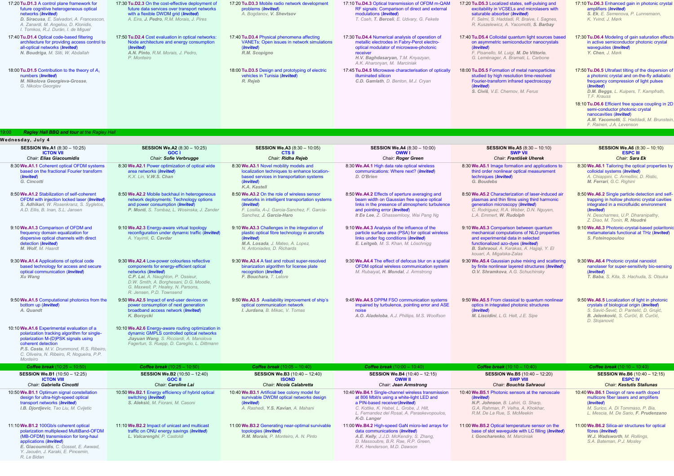#### quantum light sources based miconductor nanocrystals

#### **n** of metal nanoparticles solution time-resolved infrared spectroscopy

17:10 **Tu.D6.3** Enhanced gain in photonic crystal amplifiers (*Invited*) *S. Ek, E. Semenova, P. Lunnemann, K. Yvind, J. Mørk*

#### **We.A5** (8:30 – 10:10) **SWP VII** *Chair: František Uherek*

17:30 **Tu.D6.4** Modeling of gain saturation effects in active semiconductor photonic crystal waveguides (*Invited*) *Y. Chen, J. Mørk*

17:50 **Tu.D6.5** Ultrafast tilting of the dispersion of a photonic crystal and on-the-fly adiabatic frequency compression of light pulses (*Invited*)

*D.M. Beggs, L. Kuipers, T. Kampfrath, T.F. Krauss*

18:10 **Tu.D6.6** Efficient free space coupling in 2D semi-conductor photonic crystal nanocavities (*Invited*) *A.M. Yacomotti, S. Haddadi, M. Brunstein, F. Raineri, J.A. Levenson*

#### **SESSION We.A6** (8:30 – 10:10) **ESPC III**  *Chair: Sara Ek*

8:30 **We.A6.1** Tailoring the optical properties by colloidal systems (*Invited*) *A. Chiappini, C. Armellini, D. Ristic, M. Ferrari, G.C. Righini*

8:50 **We.A6.2** Single particle detection and selftrapping in hollow photonic crystal cavities integrated in a microfluidic environment (*Invited*) *N. Descharmes, U.P. Dharanipathy,* 

*Z. Diao, M. Tonin, R. Houdré*

| 17:20 Tu.D1.3 A control plane framework for<br>future cognitive heterogeneous optical<br>networks (Invited)<br>D. Siracusa, E. Salvadori, A. Francescon.<br>A. Zanardi, M. Angelou, D. Klonidis,<br>I. Tomkos, R.J. Durán, I. de Miguel                      | 17:30 Tu.D2.3 On the cost-effective deployment of<br>future data services over transport networks<br>with a flexible DWDM grid ( <i>Invited</i> )<br>A. Eira. <b>J. Pedro</b> . R.M. Morais. J. Pires                                                            | 17:20 Tu.D3.3 Mobile radio network development<br>problems ( <b>Invited</b> )<br>A. Bogdanov, V. Shevtsov                                                                            | 17:10 Tu.D4.3 Optical transmission of OFDM m-QAM<br>RF signals: Comparison of direct and external<br>modulations (Invited)<br>T. Cseh, T. Berceli, E. Udvary, G. Fekete                                                                   | 17:20 Tu.D5.3 Localized states, self-pulsing and<br>excitability in VCSELs and microlasers with<br>saturable absorber (Invited)<br>F. Selmi, S. Haddadi, R. Braive, I. Sagnes,<br>R. Kuszelewicz, A. Yacomotti, S. Barbay                         | 17:10 Tu.D6.3 Enhanced gain in pho<br>amplifiers (Invited)<br>S. Ek. E. Semenova, P. Lunne<br>K. Yvind, J. Mørk                                                                         |
|--------------------------------------------------------------------------------------------------------------------------------------------------------------------------------------------------------------------------------------------------------------|------------------------------------------------------------------------------------------------------------------------------------------------------------------------------------------------------------------------------------------------------------------|--------------------------------------------------------------------------------------------------------------------------------------------------------------------------------------|-------------------------------------------------------------------------------------------------------------------------------------------------------------------------------------------------------------------------------------------|---------------------------------------------------------------------------------------------------------------------------------------------------------------------------------------------------------------------------------------------------|-----------------------------------------------------------------------------------------------------------------------------------------------------------------------------------------|
| 17:40 Tu.D1.4 Optical code-based filtering<br>architecture for providing access control to<br>all-optical networks (Invited)<br>N. Boudriga, M. Sliti, W. Abdallah                                                                                           | 17:50 Tu.D2.4 Cost evaluation in optical networks:<br>Node architecture and energy consumption<br>(Invited)<br>A.N. Pinto, R.M. Morais, J. Pedro,<br>P. Monteiro                                                                                                 | 17:40 Tu.D3.4 Physical phenomena affecting<br><b>VANETs: Open issues in network simulations</b><br>(Invited)<br>R.M. Scopigno                                                        | 17:30 Tu.D4.4 Numerical analysis of operation of<br>metallic electrodes in Fabry-Perot electro-<br>optical modulator of microwave-photonic<br>receiver<br>H.V. Baghdasaryan, T.M. Knyazyan,<br>A.K. Aharonyan, M. Marciniak               | 17:40 Tu.D5.4 Colloidal quantum light sources based<br>on asymmetric semiconductor nanocrystals<br>(Invited)<br>F. Pisanello, M. Luigi, M. De Vittorio,<br>G. Leménager, A. Bramati, L. Carbone                                                   | 17:30 Tu.D6.4 Modeling of gain satu<br>in active semiconductor photo<br>waveguides ( <b>Invited</b> )<br>Y. Chen, J. Mørk                                                               |
| 18:00 Tu.D1.5 Contribution to the theory of A <sub>1</sub><br>numbers ( <i>Invited</i> )<br>M. Nikolova Georgieva-Grosse,<br>G. Nikolov Georgiev                                                                                                             |                                                                                                                                                                                                                                                                  | 18:00 Tu.D3.5 Design and prototyping of electric<br>vehicles in Tunisia (Invited)<br>R. Rejeb                                                                                        | 17:45 Tu.D4.5 Microwave characterisation of optically<br>illuminated silicon<br>C.D. Gamlath, D. Benton, M.J. Cryan                                                                                                                       | 18:00 Tu.D5.5 Formation of metal nanoparticles<br>studied by high resolution time-resolved<br>Fourier-transform infrared spectroscopy<br>(Invited)<br>S. Civiš, V.E. Chernov, M. Ferus                                                            | 17:50 Tu.D6.5 Ultrafast tilting of the<br>a photonic crystal and on-the-f<br>frequency compression of light<br>(Invited)<br>D.M. Beggs, L. Kuipers, T. Ka<br>T.F. Krauss                |
|                                                                                                                                                                                                                                                              |                                                                                                                                                                                                                                                                  |                                                                                                                                                                                      |                                                                                                                                                                                                                                           |                                                                                                                                                                                                                                                   | 18:10 Tu.D6.6 Efficient free space co<br>semi-conductor photonic cryst<br>nanocavities (Invited)<br>A.M. Yacomotti, S. Haddadi,<br>F. Raineri, J.A. Levenson                            |
| <b>Ragley Hall BBQ and tour at the Ragley Hall</b><br>Wednesday, July 4                                                                                                                                                                                      |                                                                                                                                                                                                                                                                  |                                                                                                                                                                                      |                                                                                                                                                                                                                                           |                                                                                                                                                                                                                                                   |                                                                                                                                                                                         |
| <b>SESSION We.A1</b> (8:30 - 10:25)                                                                                                                                                                                                                          | <b>SESSION We.A2</b> $(8:30 - 10:25)$                                                                                                                                                                                                                            | <b>SESSION We.A3</b> (8:30 - 10:05)                                                                                                                                                  | <b>SESSION We.A4 (8:30 - 10:00)</b>                                                                                                                                                                                                       | <b>SESSION We.A5 (8:30 - 10:10)</b>                                                                                                                                                                                                               | SESSION We.A6 (8:30                                                                                                                                                                     |
| <b>ICTON VII</b><br>Chair: Elias Giacoumidis                                                                                                                                                                                                                 | GOC I<br>Chair: Sofie Verbrugge                                                                                                                                                                                                                                  | <b>CTS II</b><br>Chair: Ridha Rejeb                                                                                                                                                  | <b>OWW</b> I<br>Chair: Roger Green                                                                                                                                                                                                        | <b>SWP VII</b><br>Chair: František Uherek                                                                                                                                                                                                         | <b>ESPC III</b><br>Chair: Sara Ek                                                                                                                                                       |
| 8:30 We.A1.1 Coherent optical OFDM systems<br>based on the fractional Fourier transform<br>(Invited)<br>G. Cincotti                                                                                                                                          | 8:30 We.A2.1 Power optimization of optical wide<br>area networks (Invited)<br>K.X. Lin. V.W.S. Chan                                                                                                                                                              | 8:30 We.A3.1 Novel mobility models and<br>localization techniques to enhance location-<br>based services in transportation systems<br>(Invited)<br>K.A. Kastell                      | 8:30 We.A4.1 High data rate optical wireless<br>communications: Where next? (Invited)<br>D. O'Brien                                                                                                                                       | 8:30 We.A5.1 Image formation and applications to<br>third order nonlinear optical measurement<br>techniques ( <i>Invited</i> )<br>G. Boudebs                                                                                                      | 8:30 We.A6.1 Tailoring the optical<br>colloidal systems (Invited)<br>A. Chiappini, C. Armellini, D. F.<br>M. Ferrari, G.C. Righini                                                      |
| 8:50 We.A1.2 Stabilization of self-coherent<br>OFDM with injection locked laser (Invited)<br>S. Adhikari, W. Rosenkranz, S. Sygletos,<br>A.D. Ellis. B. Inan. S.L. Jansen                                                                                    | 8:50 We.A2.2 Mobile backhaul in heterogeneous<br>network deployments: Technology options<br>and power consumption ( <i>Invited</i> )<br>P. Monti, S. Tombaz, L. Wosinska, J. Zander                                                                              | 8:50 We.A3.2 On the role of wireless sensor<br>networks in intelligent transportation systems<br>(Invited)<br>F. Losilla, A-J. Garcia-Sanchez, F. Garcia-<br>Sanchez. J. Garcia-Haro | 8:50 We.A4.2 Effects of aperture averaging and<br>beam width on Gaussian free space optical<br>links in the presence of atmospheric turbulence<br>and pointing error ( <i>Invited</i> )<br>It Ee Lee, Z. Ghassemlooy, Wai Pang Ng         | 8:50 We.A5.2 Characterization of laser-induced air<br>plasmas and thin films using third harmonic<br>generation microscopy (Invited)<br>C. Rodriguez, R.A. Weber, D.N. Nguyen,<br>L.A. Emmert, W. Rudolph                                         | 8:50 We.A6.2 Single particle detect<br>trapping in hollow photonic cry<br>integrated in a microfluidic env<br>(Invited)<br>N. Descharmes, U.P. Dharanij<br>Z. Diao, M. Tonin, R. Houdré |
| 9:10 We.A1.3 Comparison of OFDM and<br>frequency domain equalization for<br>dispersive optical channels with direct<br>detection (Invited)<br>M. Wolf. M. Haardt                                                                                             | 9:10 We.A2.3 Energy-aware virtual topology<br>reconfiguration under dynamic traffic (Invited)<br>A. Yayimli, C. Cavdar                                                                                                                                           | 9:10 We.A3.3 Challenges in the integration of<br>plastic optical fibre technology in aircrafts<br>(Invited)<br>M.A. Losada, J. Mateo, A. Lopez,<br>N. Antoniades, D. Richards        | 9:10 We.A4.3 Analysis of the influence of the<br>particle surface area (PSA) for optical wireless<br>links under fog conditions (Invited)<br>E. Leitgeb, M. S. Khan, M. Löschnigg                                                         | 9:10 We.A5.3 Comparison between quantum<br>mechanical computations of NLO properties<br>and experimental data in selected<br>functionalized azo-dyes (Invited)<br><b>B. Sahraoui</b> , A. Karakas, A. Hajjaji, Y. El<br>kouari, A. Migalska-Zalas | 9:10 We.A6.3 Photonic-crystal-base<br>metamaterials functional at TH<br>S. Foteinopoulou                                                                                                |
| 9:30 We.A1.4 Applications of optical code<br>based technology for access and secure<br>optical communication (Invited)<br><b>Xu Wang</b>                                                                                                                     | 9:30 We.A2.4 Low-power colourless reflective<br>components for energy-efficient optical<br>networks (Invited)<br>C.P. Lai, A. Naughton, P. Ossieur,<br>D.W. Smith, A. Borghesani, D.G. Moodie,<br>G. Maxwell, P. Healey, N. Parsons,<br>R. Jensen, P.D. Townsend | 9:30 We.A3.4 A fast and robust super-resolved<br>binarization algorithm for license plate<br>recognition ( <i>Invited</i> )<br>F. Bouchara, T. Lelore                                | 9:30 We.A4.4 The effect of defocus blur on a spatial<br>OFDM optical wireless communication system<br>M. Rubaiyat, H. Mondal, J. Armstrong                                                                                                | 9:30 We.A5.4 Gaussian pulse mixing and scattering<br>by finite nonlinear layered structures (Invited)<br>O.V. Shramkova, A.G. Schuchinsky                                                                                                         | 9:30 We.A6.4 Photonic crystal nane<br>nanolaser for super-sensitivity<br>(Invited)<br>T. Baba, S. Kita, S. Hachuda.                                                                     |
| 9:50 We.A1.5 Computational photonics from the<br>bottom up (Invited)<br>A. Quandt                                                                                                                                                                            | 9:50 We.A2.5 Impact of end-user devices on<br>power consumption of next generation<br>broadband access network (Invited)<br>K. Borzycki                                                                                                                          | 9:50 We.A3.5 Availability improvement of ship's<br>optical communication network<br>I. Jurdana, B. Mikac, V. Tomas                                                                   | 9:45 We.A4.5 DPPM FSO communication systems<br>impaired by turbulence, pointing error and ASE<br>noise<br>A.O. Aladeloba, A.J. Phillips, M.S. Woolfson                                                                                    | 9:50 We.A5.5 From classical to quantum nonlinear<br>optics in integrated photonic structures<br>(Invited)<br>M. Liscidini, L.G. Helt, J.E. Sipe                                                                                                   | 9:50 We.A6.5 Localization of light in<br>crystals of biological origin (In<br>S. Savić-Šević, D. Pantelić, D.<br>B. Jelenković, S. Ćurčić, B. Ć<br>D. Stojanović                        |
| 10:10 We.A1.6 Experimental evaluation of a<br>polarization tracking algorithm for single-<br>polarization M-(D)PSK signals using<br>coherent detection<br>P.S. Costa, M.V. Drummond, R.S. Ribeiro.<br>C. Oliveira, N. Ribeiro, R. Nogueira, P.P.<br>Monteiro | 10:10 We.A2.6 Energy-aware routing optimization in<br>dynamic GMPLS controlled optical networks<br>Jiayuan Wang, S. Ricciardi, A. Manolova<br>Fagertun, S. Ruepp, D. Careglio, L. Dittmann                                                                       |                                                                                                                                                                                      |                                                                                                                                                                                                                                           |                                                                                                                                                                                                                                                   |                                                                                                                                                                                         |
| <b>Coffee break</b> $(10:25 - 10:50)$<br><b>SESSION We.B1</b> (10:50 - 12:25)                                                                                                                                                                                | <b>Coffee break</b> $(10:25 - 10:50)$<br><b>SESSION We.B2</b> (10:50 - 12:40)                                                                                                                                                                                    | <b>Coffee break</b> $(10:05 - 10:40)$<br><b>SESSION We.B3</b> (10:40 - 12:40)                                                                                                        | <b>Coffee break</b> $(10:00 - 10:40)$<br><b>SESSION We.B4</b> (10:40 - 12:15)                                                                                                                                                             | <b>Coffee break</b> $(10:10 - 10:40)$<br><b>SESSION We.B5</b> (10:40 - 12:20)                                                                                                                                                                     | <b>Coffee break</b> $(10:10 - 10:40)$<br><b>SESSION We.B6 (10:40)</b>                                                                                                                   |
| <b>ICTON VIII</b><br>Chair: Gabriella Cincotti                                                                                                                                                                                                               | <b>GOC II</b><br>Chair: Caroline Lai                                                                                                                                                                                                                             | <b>ISOND</b><br>Chair: Nicola Calabretta                                                                                                                                             | <b>OWW II</b><br>Chair: Jean Armstrong                                                                                                                                                                                                    | <b>SWP VIII</b><br>Chair: Bouchta Sahraoui                                                                                                                                                                                                        | <b>ESPC IV</b><br><b>Chair: Kestutis Stalio</b>                                                                                                                                         |
| 10:50 We.B1.1 Optimum signal constellation<br>design for ultra-high-speed optical<br>transport networks (Invited)<br>I.B. Djordjevic, Tao Liu, M. Cvijetic                                                                                                   | 10:50 We.B2.1 Energy efficiency of hybrid optical<br>switching ( <b>Invited</b> )<br>S. Aleksić, M. Fiorani, M. Casoni                                                                                                                                           | 10:40 We.B3.1 Artificial bee colony model for<br>survivable DWDM optical networks design<br>(Invited)<br>A. Rashedi, Y.S. Kavian, A. Mahani                                          | 10:40 We.B4.1 Single-channel wireless transmission<br>at 806 Mbit/s using a white-light LED and<br>a PIN-based receiver(Invited)<br>C. Kottke, K. Habel, L. Grobe, J. Hilt.<br>L. Fernandez del Rosal, A. Paraskevopoulos,<br>K-D. Langer | 10:40 We.B5.1 Photonic sensors at the nanoscale<br>( <i>Invited</i> )<br>N.P. Johnson, B. Lahiri, G. Sharp,<br>G.A. Rahman, P. Velha, A. Khokhar,<br>R.M. De La Rue, S. McMeekin                                                                  | 10:40 We.B6.1 Design of rare earth<br>multicore fiber lasers and amp<br>(Invited)<br>M. Surico. A. Di Tommaso. P.<br>L. Mescia, M. De Sario, F. Pru                                     |
| 11:10 We.B1.2 100Gb/s coherent optical<br>polarization multiplexed MultiBand-OFDM<br>(MB-OFDM) transmission for long-haul<br>applications (Invited)<br>E. Giacoumidis, C. Gosset, E. Awwad,<br>Y. Jaouën, J. Karaki, E. Pincemin,<br>R. Le Bidan             | 11:10 We.B2.2 Impact of unicast and multicast<br>traffic on ONU energy savings (Invited)<br>L. Valcarenghi, P. Castoldi                                                                                                                                          | 11:00 We.B3.2 Generating near-optimal survivable<br>topologies (Invited)<br>R.M. Morais, P. Monteiro, A. N. Pinto                                                                    | 11:00 We.B4.2 High-speed GaN micro-led arrays for<br>data communications (Invited)<br>A.E. Kelly, J.J.D. McKendry, S. Zhang,<br>D. Massoubre, B.R. Rae, R.P. Green.<br>R.K. Henderson, M.D. Dawson                                        | 11:00 We.B5.2 Optical temperature sensor on the<br>base of slot waveguide with LC filling (Invited)<br>I. Goncharenko, M. Marciniak                                                                                                               | 11:00 We.B6.2 Silica-air structures fo<br>fibres ( <b>Invited</b> )<br>W.J. Wadsworth, M. Rollings,<br>S.A. Bateman, P.J. Mosley                                                        |

9:10 **We.A6.3** Photonic-crystal-based polaritonic metamaterials functional at THz (*Invited*) *S. Foteinopoulou*

### **assical to quantum nonlinear** d photonic structures

9:30 **We.A6.4** Photonic crystal nanoslot nanolaser for super-sensitivity bio-sensing (*Invited*) *T. Baba, S. Kita, S. Hachuda, S. Otsuka*

9:50 **We.A6.5** Localization of light in photonic crystals of biological origin (*Invited*) *S. Savić-Šević, D. Pantelić, D. Grujić,* 

*B. Jelenković, S. Ćurčić, B. Ćurčić, D. Stojanović*

**SESSION We.B6** (10:40 – 12:15) **ESPC IV**  *Chair: Kestutis Staliunas*

10:40 **We.B6.1** Design of rare earth doped multicore fiber lasers and amplifiers (*Invited*) *M. Surico, A. Di Tommaso, P. Bia,* 

*L. Mescia, M. De Sario, F. Prudenzano*

11:00 **We.B6.2** Silica-air structures for optical fibres (*Invited*) *W.J. Wadsworth, M. Rollings, S.A. Bateman, P.J. Mosley*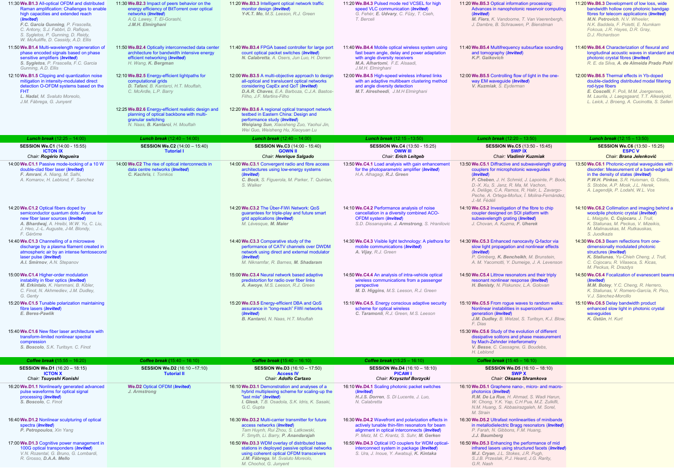- 11:20 **We.B6.3** Development of low loss, wide bandwidth hollow core photonic bandgap fibres for telecom applications (*Invited*) *M.N. Petrovich, N.V. Wheeler, N.K. Baddela, F. Poletti, E. Numkam Fokoua, J.R. Hayes, D.R. Gray, D.J. Richardson*
- 11:40 **We.B6.4** Characterization of flexural and longitudinal acoustic waves in standard and photonic crystal fibres (*Invited*) *R. E. da Silva, A. de Almeida Prado Pohl*

12:00 **We.B6.5** Thermal effects in Yb-doped double-cladding distributed modal filtering rod-type fibers *E. Coscelli, F. Poli, M.M. Joergensen,* 

*M. Laurila, J. Laegsgaard, T.T. Alkeskjold, L. Leick, J. Broeng, A. Cucinotta, S. Selleri*

**SESSION We.C6** (13:50 - 15:25) **ESPC V**  *Chair: Brana Jelenković*

#### oque waves to random walks: lities in supercontinuum ed) *J.M. Dudley, B. Wetzel, S. Turitsyn, K.J. Blow,*

#### of the evolution of different ns and phase measurement

13:50 **We.C6.1** Photonic-crystal waveguides with disorder: Measurement of a band-edge tail in the density of states (*Invited*) *P.W.H. Pinkse, S.R. Huisman, G. Ctistis, S. Stobbe, A.P. Mosk, J.L. Herek,* 

| 11:30 We.B1.3 All-optical OFDM and distributed<br>Raman amplification: Challenges to enable<br>high capacities and extended reach<br>(Invited)<br>F.C. Garcia Gunning, P. Frascella,<br>C. Antony, S.J. Fabbri, D. Rafique,<br>S. Sygletos, P. Gunning, D. Reidy,<br>W. McAuliffe, D. Cassidy, A.D. Ellis | 11:30 We.B2.3 Impact of peers behavior on the<br>energy efficiency of BitTorrent over optical<br>networks (Invited)<br>A.Q. Lawev. T. El-Gorashi.<br>J.M.H. Elmirghani | 11:20 We.B3.3 Intelligent optical network traffic<br>monitor design ( <b>Invited</b> )<br>Y-K.T. Mo. M.S. Leeson, R.J. Green                                                                                                   | 11:20 We.B4.3 Pulsed mode red VCSEL for high<br>speed VLC communication (Invited)<br>G. Fehér, E. Udvary, C. Fűzy, T. Cseh,<br>T. Berceli                                                          | 11:20 We.B5.3 Optical information processing:<br>Advances in nanophotonic reservoir computing<br>(Invited)<br>M. Fiers, K. Vandoorne, T. Van Vaerenbergh,<br>J. Dambre, B. Schrauwen, P. Bienstman                                                                                                                  | 11:20 We.B6.3 Development of low<br>bandwidth hollow core photoni<br>fibres for telecom applications<br>M.N. Petrovich, N.V. Wheeler<br>N.K. Baddela, F. Poletti, E. Nu<br>Fokoua, J.R. Hayes, D.R. Gra<br>D.J. Richardson |
|-----------------------------------------------------------------------------------------------------------------------------------------------------------------------------------------------------------------------------------------------------------------------------------------------------------|------------------------------------------------------------------------------------------------------------------------------------------------------------------------|--------------------------------------------------------------------------------------------------------------------------------------------------------------------------------------------------------------------------------|----------------------------------------------------------------------------------------------------------------------------------------------------------------------------------------------------|---------------------------------------------------------------------------------------------------------------------------------------------------------------------------------------------------------------------------------------------------------------------------------------------------------------------|----------------------------------------------------------------------------------------------------------------------------------------------------------------------------------------------------------------------------|
| 11:50 We.B1.4 Multi-wavelength regeneration of<br>phase encoded signals based on phase<br>sensitive amplifiers (Invited)<br>S. Sygletos, P. Frascella, F.C. Garcia<br>Gunning, A.D. Ellis                                                                                                                 | 11:50 We.B2.4 Optically interconnected data center<br>architecture for bandwidth intensive energy<br>efficient networking ( <b>Invited</b> )<br>H. Wang, K. Bergman    | 11:40 We.B3.4 FPGA based controller for large port<br>count optical packet switches (Invited)<br>N. Calabretta, A. Osers, Jun Luo, H. Dorren                                                                                   | 11:40 We.B4.4 Mobile optical wireless system using<br>fast beam angle, delay and power adaptation<br>with angle diversity receivers<br>M.A. Alhartomi, F.E. Alsaadi,<br>J.M.H. Elmirghani          | 11:40 We.B5.4 Multifrequency subsurface sounding<br>and tomography (Invited)<br><b>K.P. Gaikovich</b>                                                                                                                                                                                                               | 11:40 We.B6.4 Characterization of fl<br>longitudinal acoustic waves in<br>photonic crystal fibres (Invited<br>R. E. da Silva, A. de Almeida                                                                                |
| 12:10 We.B1.5 Clipping and quantization noise<br>mitigation in intensity-modulated direct<br>detection O-OFDM systems based on the<br><b>FHT</b><br>L. Nadal. M. Svaluto Moreolo.<br>J.M. Fàbrega, G. Junyent                                                                                             | 12:10 We.B2.5 Energy-efficient lightpaths for<br>computational grids<br>D. Tafani, B. Kantarci, H.T. Mouftah,<br>C. McArdle, L.P. Barry                                | 12:00 We.B3.5 A multi-objective approach to design<br>all-optical and translucent optical networks<br>considering CapEx and QoT ( <i>Invited</i> )<br>D.A.R. Chaves, E.A. Barboza, C.J.A. Bastos-<br>Filho, J.F. Martins-Filho | 12:00 We.B4.5 High-speed wireless infrared links<br>with an adaptive multibeam clustering method<br>and angle diversity detection<br>M.T. Alresheedi, J.M.H Elmirghani                             | 12:00 We.B5.5 Controlling flow of light in the one-<br>way EM waveguide (Invited)<br>V. Kuzmiak, S. Eyderman                                                                                                                                                                                                        | 12:00 We.B6.5 Thermal effects in Yt<br>double-cladding distributed mo<br>rod-type fibers<br>E. Coscelli, F. Poli, M.M. Joel<br>M. Laurila, J. Laegsgaard, T.T.<br>L. Leick, J. Broeng, A. Cucinor                          |
|                                                                                                                                                                                                                                                                                                           | 12:25 We.B2.6 Energy-efficient realistic design and<br>planning of optical backbone with multi-<br>granular switching<br>N. Naas, <b>B. Kantarci</b> , H. Mouftah      | 12:20 We.B3.6 A regional optical transport network<br>testbed in Eastern China: Design and<br>performance study (Invited)<br>Weigiang Sun, Xiaosheng Zuo, Yaohui Jin,<br>Wei Guo, Weisheng Hu, Xiaoyuan Lu                     |                                                                                                                                                                                                    |                                                                                                                                                                                                                                                                                                                     |                                                                                                                                                                                                                            |
| <b>Lunch break</b> $(12:25 - 14:00)$<br><b>SESSION We.C1</b> (14:00 - 15:55)                                                                                                                                                                                                                              | <b>Lunch break</b> $(12:40 - 14:00)$<br><b>SESSION We.C2</b> (14:00 - 15:40)                                                                                           | <b>Lunch break</b> $(12:40 - 14:00)$<br><b>SESSION We.C3 (14:00 - 15:40)</b>                                                                                                                                                   | <b>Lunch break</b> $(12:15 - 13:50)$<br><b>SESSION We.C4 (13:50 - 15:25)</b>                                                                                                                       | <b>Lunch break</b> $(12:20 - 13:50)$<br><b>SESSION We.C5 (13:50 - 15:45)</b>                                                                                                                                                                                                                                        | <b>Lunch break</b> $(12:15 - 13:50)$<br><b>SESSION We.C6 (13:50)</b>                                                                                                                                                       |
| <b>ICTON IX</b><br>Chair: Rogério Noqueira                                                                                                                                                                                                                                                                | <b>Tutorial I</b>                                                                                                                                                      | <b>GOWN II</b><br>Chair: Henrique Salgado                                                                                                                                                                                      | <b>OWW III</b><br><b>Chair: Erich Leitaeb</b>                                                                                                                                                      | <b>SWP IX</b><br>Chair: Vladimir Kuzmiak                                                                                                                                                                                                                                                                            | <b>ESPC V</b><br><b>Chair: Brana Jelenk</b>                                                                                                                                                                                |
| 14:00 We.C1.1 Passive mode-locking of a 10 W<br>double-clad fiber laser (Invited)<br>F. Amrani, A. Niang, M. Salhi,<br>A. Komarov. H. Leblond. F. Sanchez                                                                                                                                                 | 14:00 We.C2 The rise of optical interconnects in<br>data centre networks (Invited)<br>C. Kachris, I. Tomkos                                                            | 14:00 We.C3.1 Convergent radio and fibre access<br>architectures using low-energy systems<br>(Invited)<br>C. Bock, S. Figuerola, M. Parker, T. Quinlan,<br>S. Walker                                                           | 13:50 We.C4.1 Load analysis with gain enhancement<br>for the photoparametric amplifier (Invited)<br>H.A. Alhagagi, R.J. Green                                                                      | 13:50 We.C5.1 Diffractive and subwavelength grating<br>couplers for microphotonic waveguides<br>(Invited)<br>P. Cheben, J. H. Schmid, J. Lapointe, P. Bock,<br>D.-X. Xu, S. Janz, R. Ma, M. Vachon.<br>A. Delâge, C.A. Ramos, R. Halir, L. Zavargo-<br>Peche, A. Ortega-Moñux, Í. Molina-Fernández,<br>J.-M. Fédéli | 13:50 We.C6.1 Photonic-crystal wav<br>disorder: Measurement of a ba<br>in the density of states (Invited<br>P.W.H. Pinkse, S.R. Huisman<br>S. Stobbe, A.P. Mosk, J.L. He.<br>A. Lagendijk, P. Lodahl, W.L.                 |
| 14:20 We.C1.2 Optical fibers doped by<br>semiconductor quantum dots: Avenue for<br>new fiber laser sources (Invited)<br>A. Bhardwaj, A. Hreibi, W.W. Yu, C. Liu,<br>J. Heo, J.-L. Auguste, J-M. Blondy,<br>F. Gérôme                                                                                      |                                                                                                                                                                        | 14:20 We.C3.2 The Über-FiWi Network: QoS<br>guarantees for triple-play and future smart<br>grid applications (Invited)<br>M. Lévesque, M. Maier                                                                                | 14:10 We.C4.2 Performance analysis of noise<br>cancellation in a diversity combined ACO-<br>OFDM system (Invited)<br>S.D. Dissanayake, J. Armstrong, S. Hranilovic                                 | 14:10 We.C5.2 Investigation of the fibre to chip<br>coupler designed on SOI platform with<br>subwavelength grating (Invited)<br>J. Chovan. A. Kuzma. F. Uherek                                                                                                                                                      | 14:10 We.C6.2 Collimation and imag<br>woodpile photonic crystal (Inv.<br>L. Maigyte, C. Cojocaru, J. Tr<br>K. Staliunas, M. Peckus, V. M.<br>M. Malinauskas, M. Rutkauska<br>S. Juodkazis                                  |
| 14:40 We.C1.3 Channelling of a microwave<br>discharge by a plasma filament created in<br>atmospheric air by an intense femtosecond<br>laser pulse (Invited)<br>A.I. Smirnov, A.N. Stepanov                                                                                                                |                                                                                                                                                                        | 14:40 We.C3.3 Comparative study of the<br>performance of CATV channels over DWDM<br>network using direct and external modulator<br>( <i>Invited</i> )<br>M. Niknamfar, R. Barnes, M. Shadaram                                  | 14:30 We.C4.3 Visible light technology: A plethora for<br>mobile communications (Invited)<br>A. Vijay, R.J. Green                                                                                  | 14:30 We.C5.3 Enhanced nanocavity Q-factor via<br>slow light propagation and nonlinear effects<br>(Invited)<br>P. Grinberg, K. Bencheikh, M. Brunstein,<br>A. M. Yacomotti, Y. Dumeige, J. A. Levenson                                                                                                              | 14:30 We.C6.3 Beam reflections from<br>dimensionally modulated phot<br>structures ( <i>Invited</i> )<br>K. Staliunas, Yu-Chieh Cheng<br>C. Cojocaru, R. Vilaseca, S. K<br>M. Peckus, R. Drazdys                            |
| 15:00 We.C1.4 Higher-order modulation<br>instability in fiber optics (Invited)<br>M. Erkintalo, K. Hammani, B. Kibler,<br>C. Finot, N. Akhmediev, J.M. Dudley,<br>G. Genty                                                                                                                                |                                                                                                                                                                        | 15:00 We.C3.4 Neural network based adaptive<br>predistortion for radio over fiber links<br>A. Awoye, M.S. Leeson, R.J. Green                                                                                                   | 14:50 We.C4.4 An analysis of intra-vehicle optical<br>wireless communications from a passenger<br>perspective<br>M. D. Higgins, M.S. Leeson, R.J. Green                                            | 14:50 We.C5.4 Littrow resonators and their triply<br>resonant nonlinear response (Invited)<br>H. Benisty, N. Piskunov, L.A. Golovan                                                                                                                                                                                 | 14:50 We.C6.4 Focalization of evane<br>( <i>Invited</i> )<br>M.M. Botey, Y.C. Cheng, R. F<br>K. Staliunas, V. Romero-Garci<br>V.J. Sánchez-Morcillo                                                                        |
| 15:20 We.C1.5 Tunable polarization maintaining<br>fibre lasers (Invited)<br>E. Beres-Pawlik                                                                                                                                                                                                               |                                                                                                                                                                        | 15:20 We.C3.5 Energy-efficient DBA and QoS<br>assurance in "long-reach" FiWi networks<br>(Invited)<br><b>B. Kantarci</b> , N. Naas, H.T. Mouftah                                                                               | 15:10 We.C4.5. Energy conscious adaptive security<br>scheme for optical wireless<br>C. Taramonli, R.J. Green, M.S. Leeson                                                                          | 15:10 We.C5.5 From rogue waves to random walks:<br>Nonlinear instabilities in supercontinuum<br>generation (Invited)<br>J.M. Dudley, B. Wetzel, S. Turitsyn, K.J. Blow,<br>F. Dias                                                                                                                                  | 15:10 We.C6.5 Delay bandwidth pro<br>enhanced slow light in photoni<br>waveguides<br>K. Üstün, H. Kurt                                                                                                                     |
| 15:40 We.C1.6 New fiber laser architecture with<br>transform-limited nonlinear spectral<br>compression<br>S. Boscolo, S.K. Turitsyn. C. Finot                                                                                                                                                             |                                                                                                                                                                        |                                                                                                                                                                                                                                |                                                                                                                                                                                                    | 15:30 We.C5.6 Study of the evolution of different<br>dissipative solitons and phase measurement<br>by Mach-Zehnder interferometry<br>V. Besse, C. Cassagne, G. Boudebs,<br>H. Leblond                                                                                                                               |                                                                                                                                                                                                                            |
| <b>Coffee break</b> $(15:55 - 16:20)$                                                                                                                                                                                                                                                                     | <b>Coffee break</b> $(15:40 - 16:10)$                                                                                                                                  | <b>Coffee break</b> $(15:40 - 16:10)$                                                                                                                                                                                          | <b>Coffee break</b> $(15:25 - 16:10)$                                                                                                                                                              | <b>Coffee break</b> $(15:45 - 16:10)$                                                                                                                                                                                                                                                                               |                                                                                                                                                                                                                            |
| <b>SESSION We.D1</b> (16:20 - 18:15)<br><b>ICTON X</b><br>Chair: Tsuyoshi Konishi                                                                                                                                                                                                                         | <b>SESSION We.D2</b> (16:10 -17:10)<br><b>Tutorial II</b>                                                                                                              | <b>SESSION We.D3</b> (16:10 - 17:50)<br><b>Access IV</b><br>Chair: Adolfo Cartaxo                                                                                                                                              | <b>SESSION We.D4</b> (16:10 - 18:10)<br><b>PICAW I</b><br>Chair: Krzysztof Borzycki                                                                                                                | <b>SESSION We.D5</b> (16:10 - 18:10)<br><b>SWP X</b><br>Chair: Oksana Shramkova                                                                                                                                                                                                                                     |                                                                                                                                                                                                                            |
| 16:20 We.D1.1 Nonlinearly generated advanced                                                                                                                                                                                                                                                              | We.D2 Optical OFDM (Invited)                                                                                                                                           | 16:10 We.D3.1 Demonstration and analyses of a                                                                                                                                                                                  | 16:10 We.D4.1 Scaling photonic packet switches                                                                                                                                                     | 16:10 We.D5.1 Graphene nano-, micro- and macro-                                                                                                                                                                                                                                                                     |                                                                                                                                                                                                                            |
| pulse waveforms for optical signal<br>processing (Invited)<br>S. Boscolo, C. Finot                                                                                                                                                                                                                        | J. Armstrong                                                                                                                                                           | hybrid multiplexing scheme for scaling-up the<br>"last mile" (Invited)<br>I. Glesk, T.B. Osadola, S.K. Idris, K. Sasaki,<br>G.C. Gupta                                                                                         | (Invited)<br>H.J.S. Dorren, S. Di Lucente, J. Luo,<br>N. Calabretta                                                                                                                                | photonics (Invited)<br>R.M. De La Rue, H. Ahmad, S. Wadi Harun,<br>W. Chong, Y.K. Yap, C.H Pua, M.Z. Zulkifli,<br>N.M. Huang, S. Abbasirazgaleh, M. Sorel,<br>M. Strain                                                                                                                                             |                                                                                                                                                                                                                            |
| 16:40 We.D1.2 Nonlinear sculpturing of optical<br>spectra (Invited)<br>P. Petropoulos, Xin Yang                                                                                                                                                                                                           |                                                                                                                                                                        | 16:30 We.D3.2 Multi-carrier transmitter for future<br>access networks (Invited)<br>Tam Huynh, Rui Zhou, S. Latkowski,<br>F. Smyth, Li. Barry, P. Anandarajah                                                                   | 16:30 We.D4.2 Wavefront and polarization effects in<br>actively tunable thin-film resonators for beam<br>alignment in optical interconnects (Invited)<br>P. Metz, M. C. Krantz, S. Suhr, M. Gerken | 16:30 We.D5.2 Ultrafast nonlinearities of minibands<br>in metallodielectric Bragg resonators (Invited)<br>P. Farah, N. Gibbons, F.M. Huang,<br>J.J. Baumberg                                                                                                                                                        |                                                                                                                                                                                                                            |
| 17:00 We.D1.3 Cognitive power management in<br>100G optical transponders (Invited)<br>V.N. Rozental, G. Bruno, G. Lombardi,<br>R. Grosso, D.A.A. Mello                                                                                                                                                    |                                                                                                                                                                        | 16:50 We.D3.3 WDM overlay of distributed base<br>stations in deployed passive optical networks<br>using coherent optical OFDM transceivers<br>J.M. Fàbrega, M. Svaluto Moreolo,<br>M. Chochol, G. Junyent                      | 16:50 We.D4.3 Optical I/O couplers for WDM optical-<br>interconnect system in package (Invited)<br>S. Ura, J. Inoue, Y. Awatsuji, K. Kintaka                                                       | 16:50 We.D5.3 Enhancing the performance of mid<br>infrared lasers using structured facets (Invited)<br>M.J. Cryan, J.L. Stokes, J.R. Pugh,<br>S.J.B. Przeslak, P.J. Heard, J.G. Rarity,<br>G.R. Nash                                                                                                                |                                                                                                                                                                                                                            |
|                                                                                                                                                                                                                                                                                                           |                                                                                                                                                                        |                                                                                                                                                                                                                                |                                                                                                                                                                                                    |                                                                                                                                                                                                                                                                                                                     |                                                                                                                                                                                                                            |

#### information processing: ophotonic reservoir computing

#### ed nanocavity Q-factor via ation and nonlinear effects

- *A. Lagendijk, P. Lodahl, W.L. Vos*
- 14:10 **We.C6.2** Collimation and imaging behind a woodpile photonic crystal (*Invited*) *L. Maigyte, C. Cojocaru, J. Trull,* 
	- *K. Staliunas, M. Peckus, V. Mizeikis, M. Malinauskas, M. Rutkauskas,*
	- *S. Juodkazis*
- 14:30 **We.C6.3** Beam reflections from onedimensionally modulated photonic structures (*Invited*)
	- *K. Staliunas, Yu-Chieh Cheng, J. Trull, C. Cojocaru, R. Vilaseca, S. Kicas, M. Peckus, R. Drazdys*
- 14:50 **We.C6.4** Focalization of evanescent beams (*Invited*) *M.M. Botey, Y.C. Cheng, R. Herrero,*

### resonators and their triply ar response (*Invited*)

*K. Staliunas, V. Romero-García, R. Pico, V.J. Sánchez-Morcillo*

#### 15:10 **We.C6.5** Delay bandwidth product enhanced slow light in photonic crystal waveguides *K. Üstün, H. Kurt*

### ne nano-, micro- and macropd(